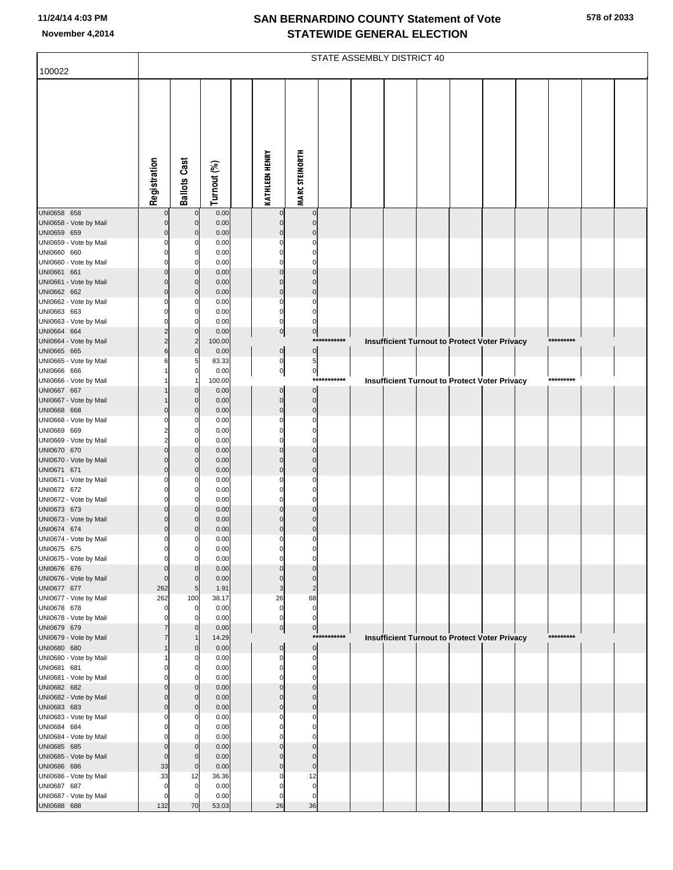|                                       |                               |                      |                |                            |                               |             | STATE ASSEMBLY DISTRICT 40 |  |                                                      |           |  |
|---------------------------------------|-------------------------------|----------------------|----------------|----------------------------|-------------------------------|-------------|----------------------------|--|------------------------------------------------------|-----------|--|
| 100022                                |                               |                      |                |                            |                               |             |                            |  |                                                      |           |  |
|                                       | Registration                  | <b>Ballots Cast</b>  | Turnout (%)    | <b>KATHLEEN HENRY</b>      | <b>MARC STEINORTH</b>         |             |                            |  |                                                      |           |  |
|                                       |                               |                      |                |                            |                               |             |                            |  |                                                      |           |  |
| UNI0658 658                           | $\Omega$                      | $\Omega$             | 0.00           | $\mathbf 0$                | $\mathbf 0$                   |             |                            |  |                                                      |           |  |
| UNI0658 - Vote by Mail                | $\Omega$                      | $\mathbf 0$          | 0.00           | $\mathbf 0$                | $\mathbf 0$                   |             |                            |  |                                                      |           |  |
| UNI0659 659                           | $\Omega$                      | $\Omega$             | 0.00           | $\Omega$                   | $\Omega$                      |             |                            |  |                                                      |           |  |
| UNI0659 - Vote by Mail                | C                             |                      | 0.00           | $\Omega$                   | $\Omega$                      |             |                            |  |                                                      |           |  |
| UNI0660 660                           | $\cap$                        | 0                    | 0.00           | $\Omega$                   | $\Omega$                      |             |                            |  |                                                      |           |  |
| UNI0660 - Vote by Mail<br>UNI0661 661 | $\cap$<br>$\cap$              | $\Omega$<br>$\Omega$ | 0.00<br>0.00   | C<br>$\Omega$              | C<br>$\Omega$                 |             |                            |  |                                                      |           |  |
| UNI0661 - Vote by Mail                | $\Omega$                      | $\Omega$             | 0.00           | $\mathbf 0$                | $\Omega$                      |             |                            |  |                                                      |           |  |
| UNI0662 662                           | $\Omega$                      | $\Omega$             | 0.00           | $\mathbf 0$                | $\overline{0}$                |             |                            |  |                                                      |           |  |
| UNI0662 - Vote by Mail                |                               |                      | 0.00           | 0                          | $\Omega$                      |             |                            |  |                                                      |           |  |
| UNI0663 663                           | $\Omega$                      |                      | 0.00           | $\mathbf 0$                | $\Omega$                      |             |                            |  |                                                      |           |  |
| UNI0663 - Vote by Mail                |                               | $\Omega$             | 0.00<br>0.00   | $\mathbf 0$                | O                             |             |                            |  |                                                      |           |  |
| UNI0664 664<br>UNI0664 - Vote by Mail |                               | $\overline{2}$       | 100.00         | 0                          | $\overline{0}$<br>***         | *******     |                            |  | <b>Insufficient Turnout to Protect Voter Privacy</b> | ********* |  |
| UNI0665 665                           | 6                             | $\mathbf 0$          | 0.00           | $\pmb{0}$                  | $\overline{0}$                |             |                            |  |                                                      |           |  |
| UNI0665 - Vote by Mail                |                               |                      | 83.33          | $\pmb{0}$                  | $5 \mid$                      |             |                            |  |                                                      |           |  |
| UNI0666 666                           |                               | $\Omega$             | 0.00           | $\overline{0}$             | $\overline{0}$                |             |                            |  |                                                      |           |  |
| UNI0666 - Vote by Mail                |                               |                      | 100.00<br>0.00 | $\mathbf 0$                | $***$<br>$\overline{0}$       | ********    |                            |  | <b>Insufficient Turnout to Protect Voter Privacy</b> | ********* |  |
| UNI0667 667<br>UNI0667 - Vote by Mail |                               |                      | 0.00           | $\mathbf 0$                | $\mathbf 0$                   |             |                            |  |                                                      |           |  |
| UNI0668 668                           | $\cap$                        | $\Omega$             | 0.00           | $\mathbf 0$                | $\mathbf 0$                   |             |                            |  |                                                      |           |  |
| UNI0668 - Vote by Mail                |                               |                      | 0.00           | 0                          | $\Omega$                      |             |                            |  |                                                      |           |  |
| UNI0669 669                           |                               | $\Omega$             | 0.00           | $\Omega$                   | $\Omega$                      |             |                            |  |                                                      |           |  |
| UNI0669 - Vote by Mail                | $\Omega$                      |                      | 0.00           | C                          | 0<br>$\Omega$                 |             |                            |  |                                                      |           |  |
| UNI0670 670<br>UNI0670 - Vote by Mail |                               | $\Omega$<br>$\Omega$ | 0.00<br>0.00   | $\Omega$<br>$\Omega$       | $\Omega$                      |             |                            |  |                                                      |           |  |
| UNI0671 671                           | $\Omega$                      | $\Omega$             | 0.00           | $\Omega$                   | $\Omega$                      |             |                            |  |                                                      |           |  |
| UNI0671 - Vote by Mail                | C                             |                      | 0.00           | $\Omega$                   | $\Omega$                      |             |                            |  |                                                      |           |  |
| UNI0672 672                           | $\Omega$                      | 0                    | 0.00           | $\Omega$                   | C                             |             |                            |  |                                                      |           |  |
| UNI0672 - Vote by Mail                | $\Omega$<br>$\Omega$          |                      | 0.00           | C<br>$\Omega$              | C<br>$\Omega$                 |             |                            |  |                                                      |           |  |
| UNI0673 673<br>UNI0673 - Vote by Mail | $\Omega$                      |                      | 0.00<br>0.00   |                            | O                             |             |                            |  |                                                      |           |  |
| UNI0674 674                           | $\Omega$                      |                      | 0.00           | $\Omega$                   | $\Omega$                      |             |                            |  |                                                      |           |  |
| UNI0674 - Vote by Mail                | $\Omega$                      |                      | 0.00           | 0                          | 0                             |             |                            |  |                                                      |           |  |
| UNI0675 675                           | $\overline{0}$                | 0                    | 0.00           | 0                          | 0                             |             |                            |  |                                                      |           |  |
| UNI0675 - Vote by Mail<br>UNI0676 676 | $\mathbf 0$<br>$\overline{0}$ | $\mathbf 0$          | 0.00<br>0.00   | 0<br>$\Omega$              | 0<br>$\Omega$                 |             |                            |  |                                                      |           |  |
| UNI0676 - Vote by Mail                | $\mathbf 0$                   | $\Omega$             | 0.00           | $\mathbf 0$                | $\mathbf 0$                   |             |                            |  |                                                      |           |  |
| UNI0677 677                           | 262                           | 5                    | 1.91           | 3                          | $\overline{2}$                |             |                            |  |                                                      |           |  |
| UNI0677 - Vote by Mail                | 262                           | 100                  | 38.17          | 26                         | 68                            |             |                            |  |                                                      |           |  |
| UNI0678 678                           | $\mathbf 0$                   | $\Omega$             | 0.00           | $\mathbf 0$                | $\mathbf 0$                   |             |                            |  |                                                      |           |  |
| UNI0678 - Vote by Mail<br>UNI0679 679 |                               |                      | 0.00<br>0.00   | $\mathbf 0$<br> 0          | $\mathbf 0$<br>$\overline{0}$ |             |                            |  |                                                      |           |  |
| UNI0679 - Vote by Mail                |                               |                      | 14.29          |                            |                               | *********** |                            |  | <b>Insufficient Turnout to Protect Voter Privacy</b> | ********* |  |
| UNI0680 680                           |                               | $\Omega$             | 0.00           | $\bf 0$                    | $\overline{0}$                |             |                            |  |                                                      |           |  |
| UNI0680 - Vote by Mail                |                               |                      | 0.00           | $\mathbf 0$                | $\mathbf 0$                   |             |                            |  |                                                      |           |  |
| UNI0681 681                           | $\Omega$                      |                      | 0.00           | $\mathbf 0$                | $\mathbf 0$                   |             |                            |  |                                                      |           |  |
| UNI0681 - Vote by Mail                | $\cap$<br>n                   | $\Omega$             | 0.00<br>0.00   | $\mathbf 0$<br>$\mathbf 0$ | 0<br>$\Omega$                 |             |                            |  |                                                      |           |  |
| UNI0682 682<br>UNI0682 - Vote by Mail | $\Omega$                      | $\Omega$             | 0.00           | $\mathbf 0$                | $\mathbf 0$                   |             |                            |  |                                                      |           |  |
| UNI0683 683                           | $\Omega$                      | $\Omega$             | 0.00           | $\mathbf 0$                | $\overline{0}$                |             |                            |  |                                                      |           |  |
| UNI0683 - Vote by Mail                | C                             |                      | 0.00           | 0                          | $\Omega$                      |             |                            |  |                                                      |           |  |
| UNI0684 684                           | $\Omega$                      | $\Omega$             | 0.00           | $\Omega$                   | $\Omega$                      |             |                            |  |                                                      |           |  |
| UNI0684 - Vote by Mail                | $\mathbf 0$                   | $\Omega$             | 0.00<br>0.00   | C<br>$\Omega$              | $\Omega$<br>$\Omega$          |             |                            |  |                                                      |           |  |
| UNI0685 685<br>UNI0685 - Vote by Mail | $\mathbf 0$                   | $\Omega$             | 0.00           | $\Omega$                   | $\Omega$                      |             |                            |  |                                                      |           |  |
| UNI0686 686                           | 33                            | $\mathbf 0$          | 0.00           | $\mathbf 0$                | $\mathbf 0$                   |             |                            |  |                                                      |           |  |
| UNI0686 - Vote by Mail                | 33                            | 12                   | 36.36          | $\mathbf 0$                | 12                            |             |                            |  |                                                      |           |  |
| UNI0687 687                           | $\mathbf 0$                   | $\mathbf 0$          | 0.00           | $\mathbf 0$                | $\mathbf 0$                   |             |                            |  |                                                      |           |  |
| UNI0687 - Vote by Mail<br>UNI0688 688 | $\mathbf 0$<br>132            | $\Omega$<br>70       | 0.00<br>53.03  | $\mathbf 0$<br>26          | $\mathbf 0$<br>36             |             |                            |  |                                                      |           |  |
|                                       |                               |                      |                |                            |                               |             |                            |  |                                                      |           |  |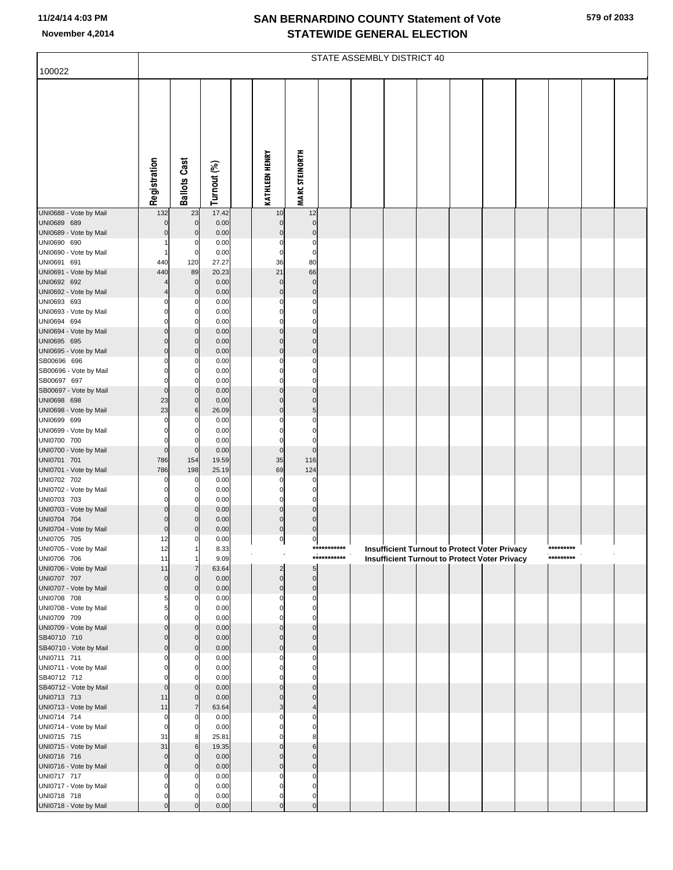|                                       |                            |                     |                |                            |                               |             | STATE ASSEMBLY DISTRICT 40 |  |                                                      |           |  |
|---------------------------------------|----------------------------|---------------------|----------------|----------------------------|-------------------------------|-------------|----------------------------|--|------------------------------------------------------|-----------|--|
| 100022                                |                            |                     |                |                            |                               |             |                            |  |                                                      |           |  |
|                                       | Registration               | <b>Ballots Cast</b> | Turnout (%)    | <b>KATHLEEN HENRY</b>      | <b>MARC STEINORTH</b>         |             |                            |  |                                                      |           |  |
|                                       |                            |                     |                |                            |                               |             |                            |  |                                                      |           |  |
|                                       |                            |                     |                |                            |                               |             |                            |  |                                                      |           |  |
| UNI0688 - Vote by Mail<br>UNI0689 689 | 132<br>$\Omega$            | 23<br>$\mathbf 0$   | 17.42<br>0.00  | 10<br>$\mathbf 0$          | 12<br>$\mathbf 0$             |             |                            |  |                                                      |           |  |
| UNI0689 - Vote by Mail                | $\Omega$                   | $\mathbf 0$         | 0.00           | $\mathbf 0$                | $\mathbf 0$                   |             |                            |  |                                                      |           |  |
| UNI0690 690                           |                            | 0                   | 0.00           | $\mathbf 0$                | $\mathbf 0$                   |             |                            |  |                                                      |           |  |
| UNI0690 - Vote by Mail                | -1                         | 0                   | 0.00           | $\mathbf 0$                | $\mathbf 0$                   |             |                            |  |                                                      |           |  |
| UNI0691 691<br>UNI0691 - Vote by Mail | 440<br>440                 | 120<br>89           | 27.27<br>20.23 | 36<br>21                   | 80<br>66                      |             |                            |  |                                                      |           |  |
| UNI0692 692                           |                            | $\mathbf 0$         | 0.00           | $\mathbf 0$                | $\mathbf 0$                   |             |                            |  |                                                      |           |  |
| UNI0692 - Vote by Mail                | 4                          | $\mathbf 0$         | 0.00           | $\mathbf 0$                | $\mathbf 0$                   |             |                            |  |                                                      |           |  |
| UNI0693 693                           | 0                          | 0                   | 0.00           | 0                          | 0                             |             |                            |  |                                                      |           |  |
| UNI0693 - Vote by Mail                | $\mathbf 0$                | 0                   | 0.00           | $\Omega$                   | $\Omega$                      |             |                            |  |                                                      |           |  |
| UNI0694 694                           | 0                          |                     | 0.00           | $\Omega$                   | $\mathbf 0$                   |             |                            |  |                                                      |           |  |
| UNI0694 - Vote by Mail<br>UNI0695 695 | $\mathbf 0$<br>$\mathbf 0$ | $\Omega$            | 0.00<br>0.00   | $\mathbf 0$<br>$\Omega$    | $\Omega$<br>$\Omega$          |             |                            |  |                                                      |           |  |
| UNI0695 - Vote by Mail                | $\mathbf 0$                | 0<br>0              | 0.00           | $\mathbf 0$                | $\mathbf 0$                   |             |                            |  |                                                      |           |  |
| SB00696 696                           | 0                          | 0                   | 0.00           | $\Omega$                   | $\mathbf 0$                   |             |                            |  |                                                      |           |  |
| SB00696 - Vote by Mail                | $\mathbf 0$                |                     | 0.00           | $\Omega$                   | $\Omega$                      |             |                            |  |                                                      |           |  |
| SB00697 697                           | $\mathbf 0$                |                     | 0.00           | $\mathbf 0$                | $\mathbf 0$                   |             |                            |  |                                                      |           |  |
| SB00697 - Vote by Mail                | $\mathbf 0$                | $\Omega$            | 0.00           | $\Omega$                   | $\Omega$                      |             |                            |  |                                                      |           |  |
| UNI0698 698<br>UNI0698 - Vote by Mail | 23<br>23                   | 0<br>6              | 0.00<br>26.09  | $\mathbf 0$<br>$\mathbf 0$ | $\mathbf 0$<br>$\overline{5}$ |             |                            |  |                                                      |           |  |
| UNI0699 699                           | $\Omega$                   | 0                   | 0.00           |                            | $\mathbf 0$                   |             |                            |  |                                                      |           |  |
| UNI0699 - Vote by Mail                | $\Omega$                   | $\Omega$            | 0.00           | $\Omega$                   | $\Omega$                      |             |                            |  |                                                      |           |  |
| UNI0700 700                           | 0                          |                     | 0.00           | $\mathbf 0$                | $\mathbf 0$                   |             |                            |  |                                                      |           |  |
| UNI0700 - Vote by Mail                | $\mathbf 0$                | $\mathbf 0$         | 0.00           | $\mathbf 0$                | $\overline{0}$                |             |                            |  |                                                      |           |  |
| UNI0701 701                           | 786                        | 154                 | 19.59          | 35                         | 116                           |             |                            |  |                                                      |           |  |
| UNI0701 - Vote by Mail<br>UNI0702 702 | 786<br>0                   | 198<br>0            | 25.19<br>0.00  | 69<br>0                    | 124<br>0                      |             |                            |  |                                                      |           |  |
| UNI0702 - Vote by Mail                | $\mathbf 0$                | $\Omega$            | 0.00           | $\Omega$                   | $\mathbf 0$                   |             |                            |  |                                                      |           |  |
| UNI0703 703                           | $\mathbf 0$                |                     | 0.00           | $\mathbf 0$                | $\mathbf 0$                   |             |                            |  |                                                      |           |  |
| UNI0703 - Vote by Mail                | $\mathbf 0$                |                     | 0.00           | $\Omega$                   | $\mathbf 0$                   |             |                            |  |                                                      |           |  |
| UNI0704 704                           | $\mathbf 0$                |                     | 0.00           | $\mathbf 0$                | $\mathbf 0$                   |             |                            |  |                                                      |           |  |
| UNI0704 - Vote by Mail<br>UNI0705 705 | $\mathbf 0$<br>12          | 0                   | 0.00<br>0.00   | $\mathbf 0$<br>$\pmb{0}$   | $\mathbf 0$<br>$\pmb{0}$      |             |                            |  |                                                      |           |  |
| UNI0705 - Vote by Mail                | 12                         |                     | 8.33           |                            |                               | *********** |                            |  | <b>Insufficient Turnout to Protect Voter Privacy</b> | ********* |  |
| UNI0706 706                           | 11                         |                     | 9.09           |                            |                               | *********** |                            |  | <b>Insufficient Turnout to Protect Voter Privacy</b> | ********* |  |
| UNI0706 - Vote by Mail                | 11                         |                     | 63.64          | $\overline{2}$             | 5                             |             |                            |  |                                                      |           |  |
| UNI0707 707                           | $\mathbf 0$                | $\mathbf 0$         | 0.00           | $\mathbf 0$                | $\mathbf 0$                   |             |                            |  |                                                      |           |  |
| UNI0707 - Vote by Mail<br>UNI0708 708 | $\mathbf 0$<br>5           | $\mathbf 0$<br>0    | 0.00<br>0.00   | $\mathbf 0$<br>$\Omega$    | $\mathbf 0$<br>$\mathbf 0$    |             |                            |  |                                                      |           |  |
| UNI0708 - Vote by Mail                | 5                          | $\Omega$            | 0.00           | $\Omega$                   | $\Omega$                      |             |                            |  |                                                      |           |  |
| UNI0709 709                           | $\Omega$                   |                     | 0.00           |                            |                               |             |                            |  |                                                      |           |  |
| UNI0709 - Vote by Mail                | $\mathbf 0$                | $\Omega$            | 0.00           | $\Omega$                   | $\Omega$                      |             |                            |  |                                                      |           |  |
| SB40710 710                           | $\mathbf 0$                | $\mathbf 0$         | 0.00           | $\Omega$                   | $\Omega$                      |             |                            |  |                                                      |           |  |
| SB40710 - Vote by Mail<br>UNI0711 711 | $\mathbf 0$<br>$\Omega$    | $\mathbf 0$<br>0    | 0.00<br>0.00   | $\mathbf 0$<br>$\Omega$    | $\Omega$<br>$\Omega$          |             |                            |  |                                                      |           |  |
| UNI0711 - Vote by Mail                | $\mathbf 0$                | $\Omega$            | 0.00           | $\Omega$                   | $\Omega$                      |             |                            |  |                                                      |           |  |
| SB40712 712                           | $\Omega$                   |                     | 0.00           | 0                          | 0                             |             |                            |  |                                                      |           |  |
| SB40712 - Vote by Mail                | $\mathbf 0$                | $\Omega$            | 0.00           | $\Omega$                   | $\Omega$                      |             |                            |  |                                                      |           |  |
| UNI0713 713                           | 11                         | $\Omega$            | 0.00           | $\Omega$                   | $\Omega$                      |             |                            |  |                                                      |           |  |
| UNI0713 - Vote by Mail                | 11<br>$\mathbf 0$          |                     | 63.64          | 3                          | $\overline{4}$                |             |                            |  |                                                      |           |  |
| UNI0714 714<br>UNI0714 - Vote by Mail | $\mathbf 0$                | C<br>$\Omega$       | 0.00<br>0.00   |                            | 0<br>$\Omega$                 |             |                            |  |                                                      |           |  |
| UNI0715 715                           | 31                         |                     | 25.81          |                            |                               |             |                            |  |                                                      |           |  |
| UNI0715 - Vote by Mail                | 31                         | 6                   | 19.35          | $\Omega$                   | 6                             |             |                            |  |                                                      |           |  |
| UNI0716 716                           | $\mathbf 0$                | $\Omega$            | 0.00           | $\Omega$                   | $\Omega$                      |             |                            |  |                                                      |           |  |
| UNI0716 - Vote by Mail                | $\mathbf 0$                | $\Omega$            | 0.00           | $\Omega$                   | $\Omega$                      |             |                            |  |                                                      |           |  |
| UNI0717 717<br>UNI0717 - Vote by Mail | 0<br>$\mathbf 0$           |                     | 0.00<br>0.00   | $\Omega$<br>$\Omega$       | $\Omega$<br>0                 |             |                            |  |                                                      |           |  |
| UNI0718 718                           | $\mathbf 0$                |                     | 0.00           | $\mathbf 0$                | 0                             |             |                            |  |                                                      |           |  |
| UNI0718 - Vote by Mail                |                            |                     | 0.00           |                            |                               |             |                            |  |                                                      |           |  |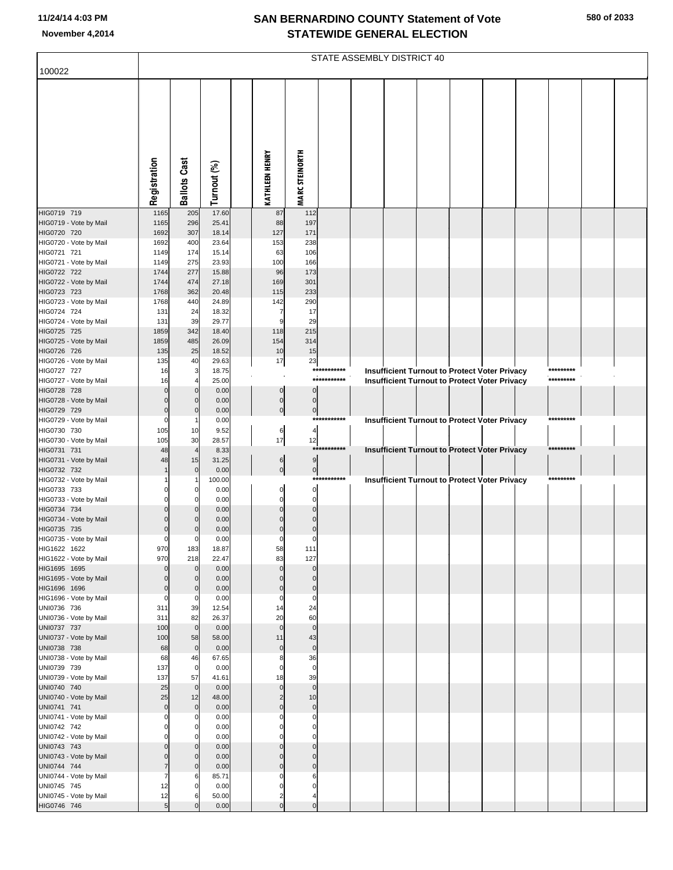| 100022                                 |              |                                  |                |                            |                               | STATE ASSEMBLY DISTRICT 40 |  |  |                                                                                                |           |  |
|----------------------------------------|--------------|----------------------------------|----------------|----------------------------|-------------------------------|----------------------------|--|--|------------------------------------------------------------------------------------------------|-----------|--|
|                                        |              |                                  |                |                            |                               |                            |  |  |                                                                                                |           |  |
|                                        |              |                                  |                |                            |                               |                            |  |  |                                                                                                |           |  |
|                                        |              |                                  |                |                            |                               |                            |  |  |                                                                                                |           |  |
|                                        |              |                                  |                |                            |                               |                            |  |  |                                                                                                |           |  |
|                                        |              |                                  |                |                            |                               |                            |  |  |                                                                                                |           |  |
|                                        |              |                                  |                |                            |                               |                            |  |  |                                                                                                |           |  |
|                                        |              |                                  |                |                            |                               |                            |  |  |                                                                                                |           |  |
|                                        |              |                                  |                |                            |                               |                            |  |  |                                                                                                |           |  |
|                                        | Registration | <b>Ballots Cast</b>              | Turnout (%)    | <b>KATHLEEN HENRY</b>      | <b>MARC STEINORTH</b>         |                            |  |  |                                                                                                |           |  |
| HIG0719 719                            | 1165         | 205                              | 17.60          | 87                         | 112                           |                            |  |  |                                                                                                |           |  |
| HIG0719 - Vote by Mail<br>HIG0720 720  | 1165<br>1692 | 296<br>307                       | 25.41<br>18.14 | 88<br>127                  | 197<br>171                    |                            |  |  |                                                                                                |           |  |
| HIG0720 - Vote by Mail                 | 1692         | 400                              | 23.64          | 153                        | 238                           |                            |  |  |                                                                                                |           |  |
| HIG0721 721                            | 1149         | 174                              | 15.14          | 63                         | 106                           |                            |  |  |                                                                                                |           |  |
| HIG0721 - Vote by Mail<br>HIG0722 722  | 1149<br>1744 | 275<br>277                       | 23.93<br>15.88 | 100<br>96                  | 166<br>173                    |                            |  |  |                                                                                                |           |  |
| HIG0722 - Vote by Mail                 | 1744         | 474                              | 27.18          | 169                        | 301                           |                            |  |  |                                                                                                |           |  |
| HIG0723 723<br>HIG0723 - Vote by Mail  | 1768<br>1768 | 362<br>440                       | 20.48<br>24.89 | 115<br>142                 | 233<br>290                    |                            |  |  |                                                                                                |           |  |
| HIG0724 724                            | 131          | 24                               | 18.32          | -7                         | 17                            |                            |  |  |                                                                                                |           |  |
| HIG0724 - Vote by Mail                 | 131          | 39                               | 29.77          | 9                          | 29                            |                            |  |  |                                                                                                |           |  |
| HIG0725 725<br>HIG0725 - Vote by Mail  | 1859<br>1859 | 342<br>485                       | 18.40<br>26.09 | 118<br>154                 | 215<br>314                    |                            |  |  |                                                                                                |           |  |
| HIG0726 726                            | 135          | 25                               | 18.52          | 10                         | 15                            |                            |  |  |                                                                                                |           |  |
| HIG0726 - Vote by Mail<br>HIG0727 727  | 135<br>16    | 40<br>3                          | 29.63<br>18.75 | 17                         | 23                            | ***********                |  |  |                                                                                                | ********* |  |
| HIG0727 - Vote by Mail                 | 16           |                                  | 25.00          |                            |                               | ***********                |  |  | Insufficient Turnout to Protect Voter Privacy<br>Insufficient Turnout to Protect Voter Privacy | ********* |  |
| HIG0728 728                            | $\Omega$     | $\overline{0}$                   | 0.00           | $\Omega$                   | $\Omega$                      |                            |  |  |                                                                                                |           |  |
| HIG0728 - Vote by Mail<br>HIG0729 729  | $\Omega$     | $\overline{0}$<br>$\overline{0}$ | 0.00<br>0.00   | $\mathbf 0$<br>$\mathbf 0$ | $\mathbf 0$<br>$\overline{0}$ |                            |  |  |                                                                                                |           |  |
| HIG0729 - Vote by Mail                 | C            |                                  | 0.00           |                            |                               | ***********                |  |  | Insufficient Turnout to Protect Voter Privacy                                                  | ********* |  |
| HIG0730 730<br>HIG0730 - Vote by Mail  | 105<br>105   | 10<br>30                         | 9.52<br>28.57  | 6<br>17                    | $\overline{a}$<br>12          |                            |  |  |                                                                                                |           |  |
| HIG0731 731                            | 48           | $\overline{4}$                   | 8.33           |                            |                               | ***********                |  |  | Insufficient Turnout to Protect Voter Privacy                                                  | ********* |  |
| HIG0731 - Vote by Mail                 | 48           | 15                               | 31.25          | 6                          | 9                             |                            |  |  |                                                                                                |           |  |
| HIG0732 732<br>HIG0732 - Vote by Mail  |              | $\overline{0}$                   | 0.00<br>100.00 | $\mathbf 0$                | $\overline{0}$                | ***********                |  |  | Insufficient Turnout to Protect Voter Privacy                                                  | ********* |  |
| HIG0733 733                            |              | 0                                | 0.00           | O                          | $\mathbf 0$                   |                            |  |  |                                                                                                |           |  |
| HIG0733 - Vote by Mail<br>HIG0734 734  |              | $\Omega$<br>$\overline{0}$       | 0.00<br>0.00   | O<br>O                     | $\Omega$<br>$\Omega$          |                            |  |  |                                                                                                |           |  |
| HIG0734 - Vote by Mail                 |              | $\Omega$                         | 0.00           | C                          | $\sqrt{ }$                    |                            |  |  |                                                                                                |           |  |
| HIG0735 735                            | C            | $\overline{0}$                   | 0.00           | C                          | $\Omega$                      |                            |  |  |                                                                                                |           |  |
| HIG0735 - Vote by Mail<br>HIG1622 1622 | C<br>970     | O<br>183                         | 0.00<br>18.87  | C<br>58                    | C<br>111                      |                            |  |  |                                                                                                |           |  |
| HIG1622 - Vote by Mail                 | 970          | 218                              | 22.47          | 83                         | 127                           |                            |  |  |                                                                                                |           |  |
| HIG1695 1695<br>HIG1695 - Vote by Mail |              | $\overline{0}$<br>$\Omega$       | 0.00<br>0.00   |                            | $\Omega$<br>$\Omega$          |                            |  |  |                                                                                                |           |  |
| HIG1696 1696                           |              | $\mathbf{0}$                     | 0.00           | C                          | $\mathbf 0$                   |                            |  |  |                                                                                                |           |  |
| HIG1696 - Vote by Mail                 | C            | $\Omega$                         | 0.00           | $\Omega$                   | $\mathbf 0$                   |                            |  |  |                                                                                                |           |  |
| UNI0736 736<br>UNI0736 - Vote by Mail  | 311<br>311   | 39<br>82                         | 12.54<br>26.37 | 14<br>20                   | 24<br>60                      |                            |  |  |                                                                                                |           |  |
| UNI0737 737                            | 100          | $\mathbf 0$                      | 0.00           | $\mathbf{0}$               | $\mathbf 0$                   |                            |  |  |                                                                                                |           |  |
| UNI0737 - Vote by Mail<br>UNI0738 738  | 100<br>68    | 58<br>$\mathbf 0$                | 58.00<br>0.00  | 11<br>$\mathbf 0$          | 43<br>$\mathbf 0$             |                            |  |  |                                                                                                |           |  |
| UNI0738 - Vote by Mail                 | 68           | 46                               | 67.65          | ε                          | 36                            |                            |  |  |                                                                                                |           |  |
| UNI0739 739                            | 137          | $\mathbf 0$                      | 0.00           | O                          | $\mathbf 0$                   |                            |  |  |                                                                                                |           |  |
| UNI0739 - Vote by Mail<br>UNI0740 740  | 137<br>25    | 57<br>$\mathbf 0$                | 41.61<br>0.00  | 18<br>$\mathbf 0$          | 39<br>$\mathbf 0$             |                            |  |  |                                                                                                |           |  |
| UNI0740 - Vote by Mail                 | 25           | 12                               | 48.00          | 2                          | 10                            |                            |  |  |                                                                                                |           |  |
| UNI0741 741<br>UNI0741 - Vote by Mail  | $\Omega$     | $\overline{0}$                   | 0.00<br>0.00   | C                          | $\mathbf 0$<br>$\Omega$       |                            |  |  |                                                                                                |           |  |
| UNI0742 742                            |              | 0                                | 0.00           |                            | 0                             |                            |  |  |                                                                                                |           |  |
| UNI0742 - Vote by Mail                 |              | $\Omega$                         | 0.00           |                            |                               |                            |  |  |                                                                                                |           |  |
| UNI0743 743<br>UNI0743 - Vote by Mail  |              | $\overline{0}$<br>$\Omega$       | 0.00<br>0.00   | C                          | $\Omega$<br>$\Omega$          |                            |  |  |                                                                                                |           |  |
| UNI0744 744                            | 7            | $\Omega$                         | 0.00           | C                          | $\Omega$                      |                            |  |  |                                                                                                |           |  |
| UNI0744 - Vote by Mail                 | 7<br>12      | 6<br>$\mathbf 0$                 | 85.71<br>0.00  | C                          | 6<br>$\Omega$                 |                            |  |  |                                                                                                |           |  |
| UNI0745 745<br>UNI0745 - Vote by Mail  | 12           | 6                                | 50.00          | $\overline{c}$             | 4                             |                            |  |  |                                                                                                |           |  |
| HIG0746 746                            | 5            |                                  | 0.00           | $\mathbf 0$                | $\pmb{0}$                     |                            |  |  |                                                                                                |           |  |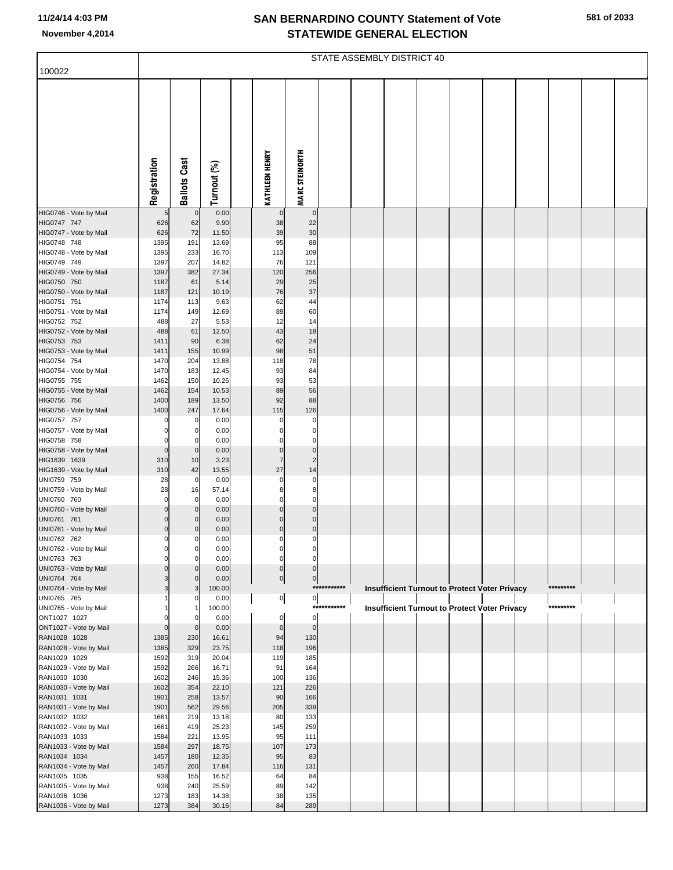| 100022                                 |                               |                            |                |                             |                             |             | STATE ASSEMBLY DISTRICT 40 |  |                                                      |           |  |
|----------------------------------------|-------------------------------|----------------------------|----------------|-----------------------------|-----------------------------|-------------|----------------------------|--|------------------------------------------------------|-----------|--|
|                                        |                               |                            |                |                             |                             |             |                            |  |                                                      |           |  |
|                                        | Registration                  | <b>Ballots Cast</b>        | Turnout (%)    | <b>KATHLEEN HENRY</b>       | <b>MARC STEINORTH</b>       |             |                            |  |                                                      |           |  |
| HIG0746 - Vote by Mail                 | 5                             | $\overline{0}$             | 0.00           | $\mathbf 0$                 | $\mathbf 0$                 |             |                            |  |                                                      |           |  |
| HIG0747 747<br>HIG0747 - Vote by Mail  | 626<br>626                    | 62<br>72                   | 9.90<br>11.50  | 38<br>39                    | 22<br>30                    |             |                            |  |                                                      |           |  |
| HIG0748 748                            | 1395                          | 191                        | 13.69          | 95                          | 88                          |             |                            |  |                                                      |           |  |
| HIG0748 - Vote by Mail                 | 1395                          | 233                        | 16.70          | 113                         | 109                         |             |                            |  |                                                      |           |  |
| HIG0749 749                            | 1397                          | 207                        | 14.82          | 76                          | 121                         |             |                            |  |                                                      |           |  |
| HIG0749 - Vote by Mail                 | 1397                          | 382                        | 27.34          | 120                         | 256                         |             |                            |  |                                                      |           |  |
| HIG0750 750<br>HIG0750 - Vote by Mail  | 1187<br>1187                  | 61<br>121                  | 5.14<br>10.19  | 29<br>76                    | 25<br>37                    |             |                            |  |                                                      |           |  |
| HIG0751 751                            | 1174                          | 113                        | 9.63           | 62                          | 44                          |             |                            |  |                                                      |           |  |
| HIG0751 - Vote by Mail                 | 1174                          | 149                        | 12.69          | 89                          | 60                          |             |                            |  |                                                      |           |  |
| HIG0752 752                            | 488                           | 27                         | 5.53           | 12                          | 14                          |             |                            |  |                                                      |           |  |
| HIG0752 - Vote by Mail                 | 488                           | 61                         | 12.50          | 43                          | 18                          |             |                            |  |                                                      |           |  |
| HIG0753 753<br>HIG0753 - Vote by Mail  | 1411<br>1411                  | 90<br>155                  | 6.38<br>10.99  | 62<br>98                    | 24<br>51                    |             |                            |  |                                                      |           |  |
| HIG0754 754                            | 1470                          | 204                        | 13.88          | 118                         | 78                          |             |                            |  |                                                      |           |  |
| HIG0754 - Vote by Mail                 | 1470                          | 183                        | 12.45          | 93                          | 84                          |             |                            |  |                                                      |           |  |
| HIG0755 755                            | 1462                          | 150                        | 10.26          | 93                          | 53                          |             |                            |  |                                                      |           |  |
| HIG0755 - Vote by Mail                 | 1462                          | 154                        | 10.53          | 89                          | 56                          |             |                            |  |                                                      |           |  |
| HIG0756 756<br>HIG0756 - Vote by Mail  | 1400<br>1400                  | 189<br>247                 | 13.50<br>17.64 | 92<br>115                   | 88<br>126                   |             |                            |  |                                                      |           |  |
| HIG0757 757                            | $\mathbf 0$                   | 0                          | 0.00           | 0                           | 0                           |             |                            |  |                                                      |           |  |
| HIG0757 - Vote by Mail                 | $\pmb{0}$                     | 0                          | 0.00           | $\mathbf 0$                 | $\pmb{0}$                   |             |                            |  |                                                      |           |  |
| HIG0758 758                            | $\mathbf 0$                   | $\mathbf 0$                | 0.00           | $\mathbf 0$                 | $\mathbf 0$                 |             |                            |  |                                                      |           |  |
| HIG0758 - Vote by Mail<br>HIG1639 1639 | $\overline{0}$<br>310         | $\overline{0}$<br>10       | 0.00<br>3.23   | $\pmb{0}$<br>$\overline{7}$ | $\pmb{0}$<br>$\overline{2}$ |             |                            |  |                                                      |           |  |
| HIG1639 - Vote by Mail                 | 310                           | 42                         | 13.55          | 27                          | 14                          |             |                            |  |                                                      |           |  |
| UNI0759 759                            | 28                            | $\mathbf 0$                | 0.00           | $\mathbf 0$                 | $\mathbf 0$                 |             |                            |  |                                                      |           |  |
| UNI0759 - Vote by Mail                 | 28                            | 16                         | 57.14          | 8                           | 8                           |             |                            |  |                                                      |           |  |
| UNI0760 760<br>UNI0760 - Vote by Mail  | $\mathbf 0$<br>$\overline{0}$ | $\mathbf 0$                | 0.00           | $\mathbf 0$<br>$\mathbf 0$  | $\mathbf 0$<br>$\mathbf 0$  |             |                            |  |                                                      |           |  |
| UNI0761 761                            | $\mathbf 0$                   | $\overline{0}$<br>0        | 0.00<br>0.00   | $\mathbf 0$                 | $\mathbf 0$                 |             |                            |  |                                                      |           |  |
| UNI0761 - Vote by Mail                 | $\overline{0}$                | $\mathbf 0$                | 0.00           | $\pmb{0}$                   | $\pmb{0}$                   |             |                            |  |                                                      |           |  |
| UNI0762 762                            | $\mathbf 0$                   | 0                          | 0.00           | $\Omega$                    | 0                           |             |                            |  |                                                      |           |  |
| UNI0762 - Vote by Mail                 |                               | 0                          | 0.00           |                             |                             |             |                            |  |                                                      |           |  |
| UNI0763 763<br>UNI0763 - Vote by Mail  | $\mathbf 0$<br>$\mathbf 0$    | $\mathbf 0$<br>$\mathbf 0$ | 0.00<br>0.00   | $\mathbf 0$<br>$\pmb{0}$    | 0<br>$\mathbf 0$            |             |                            |  |                                                      |           |  |
| UNI0764 764                            | 3                             | $\mathbf{0}$               | 0.00           | $\overline{0}$              | $\pmb{0}$                   |             |                            |  |                                                      |           |  |
| UNI0764 - Vote by Mail                 | 3                             | 3                          | 100.00         |                             |                             | *********** |                            |  | Insufficient Turnout to Protect Voter Privacy        | ********* |  |
| UNI0765 765                            |                               |                            | 0.00           | $\overline{0}$              | $\overline{0}$              |             |                            |  |                                                      |           |  |
| UNI0765 - Vote by Mail<br>ONT1027 1027 | $\Omega$                      | O                          | 100.00         | $\mathbf 0$                 | $\mathbf 0$                 | *********** |                            |  | <b>Insufficient Turnout to Protect Voter Privacy</b> | ********* |  |
| ONT1027 - Vote by Mail                 | $\mathbf 0$                   | $\mathbf 0$                | 0.00<br>0.00   | $\pmb{0}$                   | $\mathbf 0$                 |             |                            |  |                                                      |           |  |
| RAN1028 1028                           | 1385                          | 230                        | 16.61          | 94                          | 130                         |             |                            |  |                                                      |           |  |
| RAN1028 - Vote by Mail                 | 1385                          | 329                        | 23.75          | 118                         | 196                         |             |                            |  |                                                      |           |  |
| RAN1029 1029                           | 1592                          | 319                        | 20.04          | 119                         | 185                         |             |                            |  |                                                      |           |  |
| RAN1029 - Vote by Mail<br>RAN1030 1030 | 1592<br>1602                  | 266<br>246                 | 16.71<br>15.36 | 91<br>100                   | 164<br>136                  |             |                            |  |                                                      |           |  |
| RAN1030 - Vote by Mail                 | 1602                          | 354                        | 22.10          | 121                         | 226                         |             |                            |  |                                                      |           |  |
| RAN1031 1031                           | 1901                          | 258                        | 13.57          | 90                          | 166                         |             |                            |  |                                                      |           |  |
| RAN1031 - Vote by Mail                 | 1901                          | 562                        | 29.56          | 205                         | 339                         |             |                            |  |                                                      |           |  |
| RAN1032 1032                           | 1661                          | 219                        | 13.18          | 80                          | 133                         |             |                            |  |                                                      |           |  |
| RAN1032 - Vote by Mail<br>RAN1033 1033 | 1661<br>1584                  | 419<br>221                 | 25.23<br>13.95 | 145<br>95                   | 259<br>111                  |             |                            |  |                                                      |           |  |
| RAN1033 - Vote by Mail                 | 1584                          | 297                        | 18.75          | 107                         | 173                         |             |                            |  |                                                      |           |  |
| RAN1034 1034                           | 1457                          | 180                        | 12.35          | 95                          | 83                          |             |                            |  |                                                      |           |  |
| RAN1034 - Vote by Mail                 | 1457                          | 260                        | 17.84          | 116                         | 131                         |             |                            |  |                                                      |           |  |
| RAN1035 1035                           | 938                           | 155                        | 16.52          | 64                          | 84                          |             |                            |  |                                                      |           |  |
| RAN1035 - Vote by Mail<br>RAN1036 1036 | 938<br>1273                   | 240<br>183                 | 25.59<br>14.38 | 89<br>38                    | 142<br>135                  |             |                            |  |                                                      |           |  |
| RAN1036 - Vote by Mail                 | 1273                          | 384                        | 30.16          | 84                          | 289                         |             |                            |  |                                                      |           |  |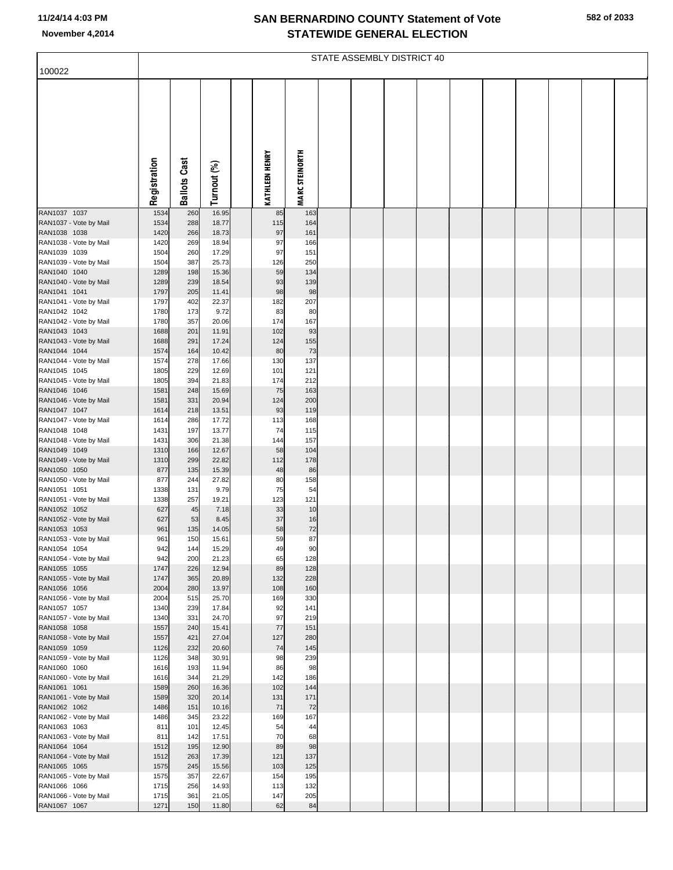|                                        |              |                     |                |                       |                       | STATE ASSEMBLY DISTRICT 40 |  |  |  |  |
|----------------------------------------|--------------|---------------------|----------------|-----------------------|-----------------------|----------------------------|--|--|--|--|
| 100022                                 |              |                     |                |                       |                       |                            |  |  |  |  |
|                                        | Registration | <b>Ballots Cast</b> | Turnout (%)    | <b>KATHLEEN HENRY</b> | <b>MARC STEINORTH</b> |                            |  |  |  |  |
| RAN1037 1037                           | 1534         | 260                 | 16.95          | 85                    | 163                   |                            |  |  |  |  |
| RAN1037 - Vote by Mail                 | 1534         | 288                 | 18.77          | 115                   | 164                   |                            |  |  |  |  |
| RAN1038 1038<br>RAN1038 - Vote by Mail | 1420<br>1420 | 266                 | 18.73<br>18.94 | 97<br>97              | 161<br>166            |                            |  |  |  |  |
| RAN1039 1039                           | 1504         | 269<br>260          | 17.29          | 97                    | 151                   |                            |  |  |  |  |
| RAN1039 - Vote by Mail                 | 1504         | 387                 | 25.73          | 126                   | 250                   |                            |  |  |  |  |
| RAN1040 1040                           | 1289         | 198                 | 15.36          | 59                    | 134                   |                            |  |  |  |  |
| RAN1040 - Vote by Mail<br>RAN1041 1041 | 1289<br>1797 | 239<br>205          | 18.54<br>11.41 | 93<br>98              | 139<br>98             |                            |  |  |  |  |
| RAN1041 - Vote by Mail                 | 1797         | 402                 | 22.37          | 182                   | 207                   |                            |  |  |  |  |
| RAN1042 1042                           | 1780         | 173                 | 9.72           | 83                    | 80                    |                            |  |  |  |  |
| RAN1042 - Vote by Mail<br>RAN1043 1043 | 1780<br>1688 | 357<br>201          | 20.06<br>11.91 | 174<br>102            | 167<br>93             |                            |  |  |  |  |
| RAN1043 - Vote by Mail                 | 1688         | 291                 | 17.24          | 124                   | 155                   |                            |  |  |  |  |
| RAN1044 1044                           | 1574         | 164                 | 10.42          | 80                    | 73                    |                            |  |  |  |  |
| RAN1044 - Vote by Mail                 | 1574         | 278                 | 17.66          | 130                   | 137                   |                            |  |  |  |  |
| RAN1045 1045<br>RAN1045 - Vote by Mail | 1805<br>1805 | 229<br>394          | 12.69<br>21.83 | 101<br>174            | 121<br>212            |                            |  |  |  |  |
| RAN1046 1046                           | 1581         | 248                 | 15.69          | 75                    | 163                   |                            |  |  |  |  |
| RAN1046 - Vote by Mail                 | 1581         | 331                 | 20.94          | 124                   | 200                   |                            |  |  |  |  |
| RAN1047 1047                           | 1614         | 218                 | 13.51          | 93                    | 119                   |                            |  |  |  |  |
| RAN1047 - Vote by Mail<br>RAN1048 1048 | 1614<br>1431 | 286<br>197          | 17.72<br>13.77 | 113<br>74             | 168<br>115            |                            |  |  |  |  |
| RAN1048 - Vote by Mail                 | 1431         | 306                 | 21.38          | 144                   | 157                   |                            |  |  |  |  |
| RAN1049 1049                           | 1310         | 166                 | 12.67          | 58                    | 104                   |                            |  |  |  |  |
| RAN1049 - Vote by Mail<br>RAN1050 1050 | 1310<br>877  | 299<br>135          | 22.82<br>15.39 | 112<br>48             | 178<br>86             |                            |  |  |  |  |
| RAN1050 - Vote by Mail                 | 877          | 244                 | 27.82          | 80                    | 158                   |                            |  |  |  |  |
| RAN1051 1051                           | 1338         | 131                 | 9.79           | 75                    | 54                    |                            |  |  |  |  |
| RAN1051 - Vote by Mail<br>RAN1052 1052 | 1338<br>627  | 257<br>45           | 19.21<br>7.18  | 123<br>33             | 121<br>10             |                            |  |  |  |  |
| RAN1052 - Vote by Mail                 | 627          | 53                  | 8.45           | 37                    | 16                    |                            |  |  |  |  |
| RAN1053 1053                           | 961          | 135                 | 14.05          | 58                    | 72                    |                            |  |  |  |  |
| RAN1053 - Vote by Mail                 | 961          | 150                 | 15.61          | 59                    | 87                    |                            |  |  |  |  |
| RAN1054 1054<br>RAN1054 - Vote by Mail | 942<br>942   | 144<br>200          | 15.29<br>21.23 | 49<br>65              | 90<br>128             |                            |  |  |  |  |
| RAN1055 1055                           | 1747         | 226                 | 12.94          | 89                    | 128                   |                            |  |  |  |  |
| RAN1055 - Vote by Mail                 | 1747         | 365                 | 20.89          | 132                   | 228                   |                            |  |  |  |  |
| RAN1056 1056<br>RAN1056 - Vote by Mail | 2004<br>2004 | 280<br>515          | 13.97<br>25.70 | 108<br>169            | 160<br>330            |                            |  |  |  |  |
| RAN1057 1057                           | 1340         | 239                 | 17.84          | 92                    | 141                   |                            |  |  |  |  |
| RAN1057 - Vote by Mail                 | 1340         | 331                 | 24.70          | 97                    | 219                   |                            |  |  |  |  |
| RAN1058 1058<br>RAN1058 - Vote by Mail | 1557<br>1557 | 240<br>421          | 15.41<br>27.04 | 77<br>127             | 151<br>280            |                            |  |  |  |  |
| RAN1059 1059                           | 1126         | 232                 | 20.60          | 74                    | 145                   |                            |  |  |  |  |
| RAN1059 - Vote by Mail                 | 1126         | 348                 | 30.91          | 98                    | 239                   |                            |  |  |  |  |
| RAN1060 1060<br>RAN1060 - Vote by Mail | 1616         | 193<br>344          | 11.94<br>21.29 | 86<br>142             | 98<br>186             |                            |  |  |  |  |
| RAN1061 1061                           | 1616<br>1589 | 260                 | 16.36          | 102                   | 144                   |                            |  |  |  |  |
| RAN1061 - Vote by Mail                 | 1589         | 320                 | 20.14          | 131                   | 171                   |                            |  |  |  |  |
| RAN1062 1062                           | 1486         | 151                 | 10.16          | 71                    | 72                    |                            |  |  |  |  |
| RAN1062 - Vote by Mail<br>RAN1063 1063 | 1486<br>811  | 345<br>101          | 23.22<br>12.45 | 169<br>54             | 167<br>44             |                            |  |  |  |  |
| RAN1063 - Vote by Mail                 | 811          | 142                 | 17.51          | 70                    | 68                    |                            |  |  |  |  |
| RAN1064 1064                           | 1512         | 195                 | 12.90          | 89                    | 98                    |                            |  |  |  |  |
| RAN1064 - Vote by Mail                 | 1512         | 263                 | 17.39          | 121                   | 137                   |                            |  |  |  |  |
| RAN1065 1065<br>RAN1065 - Vote by Mail | 1575<br>1575 | 245<br>357          | 15.56<br>22.67 | 103<br>154            | 125<br>195            |                            |  |  |  |  |
| RAN1066 1066                           | 1715         | 256                 | 14.93          | 113                   | 132                   |                            |  |  |  |  |
| RAN1066 - Vote by Mail                 | 1715         | 361                 | 21.05          | 147                   | 205                   |                            |  |  |  |  |
| RAN1067 1067                           | 1271         | 150                 | 11.80          | 62                    | 84                    |                            |  |  |  |  |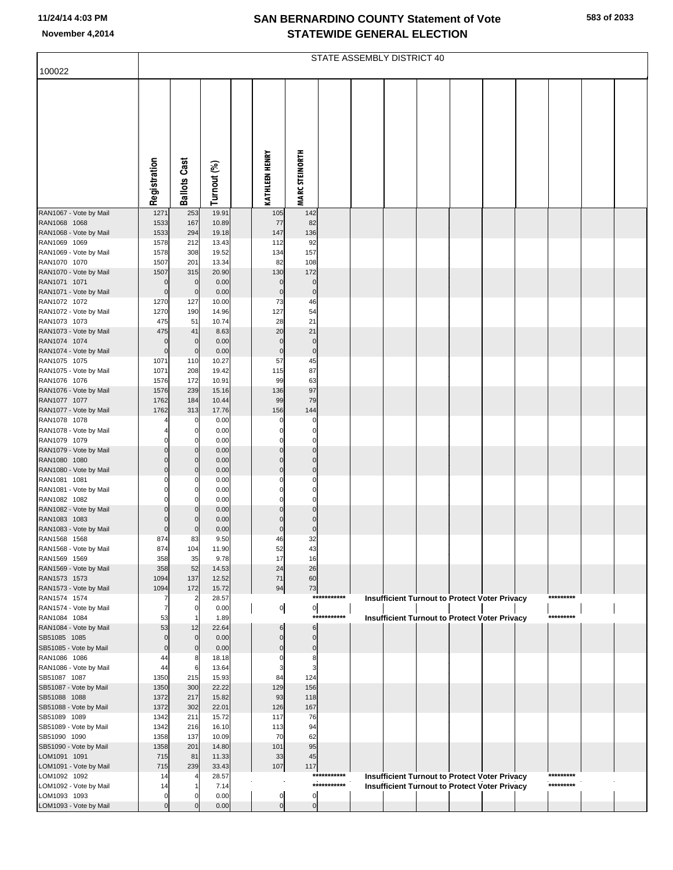|                                        |                      |                            |                |                       |                            |             | STATE ASSEMBLY DISTRICT 40 |  |                                                      |           |  |
|----------------------------------------|----------------------|----------------------------|----------------|-----------------------|----------------------------|-------------|----------------------------|--|------------------------------------------------------|-----------|--|
| 100022                                 |                      |                            |                |                       |                            |             |                            |  |                                                      |           |  |
|                                        | Registration         | <b>Ballots Cast</b>        | Turnout (%)    | <b>KATHLEEN HENRY</b> | <b>MARC STEINORTH</b>      |             |                            |  |                                                      |           |  |
| RAN1067 - Vote by Mail                 | 1271                 | 253                        | 19.91          | 105                   | 142                        |             |                            |  |                                                      |           |  |
| RAN1068 1068                           | 1533                 | 167                        | 10.89          | 77                    | 82                         |             |                            |  |                                                      |           |  |
| RAN1068 - Vote by Mail<br>RAN1069 1069 | 1533<br>1578         | 294<br>212                 | 19.18<br>13.43 | 147<br>112            | 136<br>92                  |             |                            |  |                                                      |           |  |
| RAN1069 - Vote by Mail                 | 1578                 | 308                        | 19.52          | 134                   | 157                        |             |                            |  |                                                      |           |  |
| RAN1070 1070                           | 1507                 | 201                        | 13.34          | 82                    | 108                        |             |                            |  |                                                      |           |  |
| RAN1070 - Vote by Mail                 | 1507                 | 315                        | 20.90          | 130                   | 172                        |             |                            |  |                                                      |           |  |
| RAN1071 1071<br>RAN1071 - Vote by Mail | $\Omega$<br>$\Omega$ | $\mathbf 0$<br>$\mathbf 0$ | 0.00<br>0.00   | 0<br>$\overline{0}$   | $\mathbf 0$<br>$\mathbf 0$ |             |                            |  |                                                      |           |  |
| RAN1072 1072                           | 1270                 | 127                        | 10.00          | 73                    | 46                         |             |                            |  |                                                      |           |  |
| RAN1072 - Vote by Mail                 | 1270                 | 190                        | 14.96          | 127                   | 54                         |             |                            |  |                                                      |           |  |
| RAN1073 1073                           | 475                  | 51                         | 10.74          | 28                    | 21                         |             |                            |  |                                                      |           |  |
| RAN1073 - Vote by Mail<br>RAN1074 1074 | 475<br>n             | 41<br>$\mathbf 0$          | 8.63<br>0.00   | 20<br>$\Omega$        | 21<br>$\mathbf 0$          |             |                            |  |                                                      |           |  |
| RAN1074 - Vote by Mail                 | $\Omega$             | $\mathbf 0$                | 0.00           | $\overline{0}$        | $\pmb{0}$                  |             |                            |  |                                                      |           |  |
| RAN1075 1075                           | 1071                 | 110                        | 10.27          | 57                    | 45                         |             |                            |  |                                                      |           |  |
| RAN1075 - Vote by Mail                 | 1071                 | 208                        | 19.42          | 115                   | 87                         |             |                            |  |                                                      |           |  |
| RAN1076 1076                           | 1576<br>1576         | 172<br>239                 | 10.91<br>15.16 | 99<br>136             | 63<br>97                   |             |                            |  |                                                      |           |  |
| RAN1076 - Vote by Mail<br>RAN1077 1077 | 1762                 | 184                        | 10.44          | 99                    | 79                         |             |                            |  |                                                      |           |  |
| RAN1077 - Vote by Mail                 | 1762                 | 313                        | 17.76          | 156                   | 144                        |             |                            |  |                                                      |           |  |
| RAN1078 1078                           |                      | $\Omega$                   | 0.00           | 0                     | 0                          |             |                            |  |                                                      |           |  |
| RAN1078 - Vote by Mail<br>RAN1079 1079 |                      | $\mathbf 0$<br>$\Omega$    | 0.00<br>0.00   |                       | $\Omega$<br>0              |             |                            |  |                                                      |           |  |
| RAN1079 - Vote by Mail                 |                      | $\mathbf 0$                | 0.00           | U                     | $\Omega$                   |             |                            |  |                                                      |           |  |
| RAN1080 1080                           |                      | $\mathbf 0$                | 0.00           | 0                     | 0                          |             |                            |  |                                                      |           |  |
| RAN1080 - Vote by Mail                 | ი                    | $\Omega$                   | 0.00           | $\Omega$              | $\mathbf 0$                |             |                            |  |                                                      |           |  |
| RAN1081 1081<br>RAN1081 - Vote by Mail |                      | 0<br>$\Omega$              | 0.00<br>0.00   | n<br>n                | 0<br>0                     |             |                            |  |                                                      |           |  |
| RAN1082 1082                           |                      | $\Omega$                   | 0.00           | $\Omega$              | 0                          |             |                            |  |                                                      |           |  |
| RAN1082 - Vote by Mail                 |                      | $\Omega$                   | 0.00           | U                     | $\Omega$                   |             |                            |  |                                                      |           |  |
| RAN1083 1083                           |                      | $\Omega$                   | 0.00           | 0                     | $\Omega$                   |             |                            |  |                                                      |           |  |
| RAN1083 - Vote by Mail<br>RAN1568 1568 | 0<br>874             | $\Omega$<br>83             | 0.00<br>9.50   | $\overline{0}$<br>46  | 0<br>32                    |             |                            |  |                                                      |           |  |
| RAN1568 - Vote by Mail                 | 874                  | 104                        | 11.90          | 52                    | 43                         |             |                            |  |                                                      |           |  |
| RAN1569 1569                           | 358                  | 35                         | 9.78           | 17                    | 16                         |             |                            |  |                                                      |           |  |
| RAN1569 - Vote by Mail                 | 358                  | 52                         | 14.53          | 24                    | 26                         |             |                            |  |                                                      |           |  |
| RAN1573 1573<br>RAN1573 - Vote by Mail | 1094<br>1094         | 137<br>172                 | 12.52<br>15.72 | 71<br>94              | 60<br>73                   |             |                            |  |                                                      |           |  |
| RAN1574 1574                           |                      | 2                          | 28.57          |                       |                            | *********** |                            |  | Insufficient Turnout to Protect Voter Privacy        | ********* |  |
| RAN1574 - Vote by Mail                 | 7                    | $\mathbf 0$                | 0.00           | $\overline{0}$        | $\overline{0}$             |             |                            |  |                                                      |           |  |
| RAN1084 1084<br>RAN1084 - Vote by Mail | 53<br>53             | -1<br>12                   | 1.89<br>22.64  | 6                     | 6                          | *********** |                            |  | <b>Insufficient Turnout to Protect Voter Privacy</b> | ********* |  |
| SB51085 1085                           | $\Omega$             | $\mathbf 0$                | 0.00           | 0                     | 0                          |             |                            |  |                                                      |           |  |
| SB51085 - Vote by Mail                 | $\Omega$             | $\mathbf 0$                | 0.00           | U                     | $\mathbf 0$                |             |                            |  |                                                      |           |  |
| RAN1086 1086                           | 44                   | 8                          | 18.18          | 0                     | 8                          |             |                            |  |                                                      |           |  |
| RAN1086 - Vote by Mail<br>SB51087 1087 | 44<br>1350           | 6<br>215                   | 13.64<br>15.93 | 3<br>84               | 3<br>124                   |             |                            |  |                                                      |           |  |
| SB51087 - Vote by Mail                 | 1350                 | 300                        | 22.22          | 129                   | 156                        |             |                            |  |                                                      |           |  |
| SB51088 1088                           | 1372                 | 217                        | 15.82          | 93                    | 118                        |             |                            |  |                                                      |           |  |
| SB51088 - Vote by Mail                 | 1372                 | 302                        | 22.01          | 126                   | 167                        |             |                            |  |                                                      |           |  |
| SB51089 1089<br>SB51089 - Vote by Mail | 1342<br>1342         | 211<br>216                 | 15.72<br>16.10 | 117<br>113            | 76<br>94                   |             |                            |  |                                                      |           |  |
| SB51090 1090                           | 1358                 | 137                        | 10.09          | 70                    | 62                         |             |                            |  |                                                      |           |  |
| SB51090 - Vote by Mail                 | 1358                 | 201                        | 14.80          | 101                   | 95                         |             |                            |  |                                                      |           |  |
| LOM1091 1091                           | 715                  | 81                         | 11.33          | 33                    | 45                         |             |                            |  |                                                      |           |  |
| LOM1091 - Vote by Mail<br>LOM1092 1092 | 715<br>14            | 239                        | 33.43<br>28.57 | 107                   | 117                        | *********** |                            |  | Insufficient Turnout to Protect Voter Privacy        | ********* |  |
| LOM1092 - Vote by Mail                 | 14                   |                            | 7.14           |                       |                            | *********** |                            |  | <b>Insufficient Turnout to Protect Voter Privacy</b> | ********* |  |
| LOM1093 1093                           | 0                    | 0                          | 0.00           | $\overline{0}$        | $\mathbf 0$                |             |                            |  |                                                      |           |  |
| LOM1093 - Vote by Mail                 | $\Omega$             | $\Omega$                   | 0.00           | $\mathbf{0}$          | $\mathbf 0$                |             |                            |  |                                                      |           |  |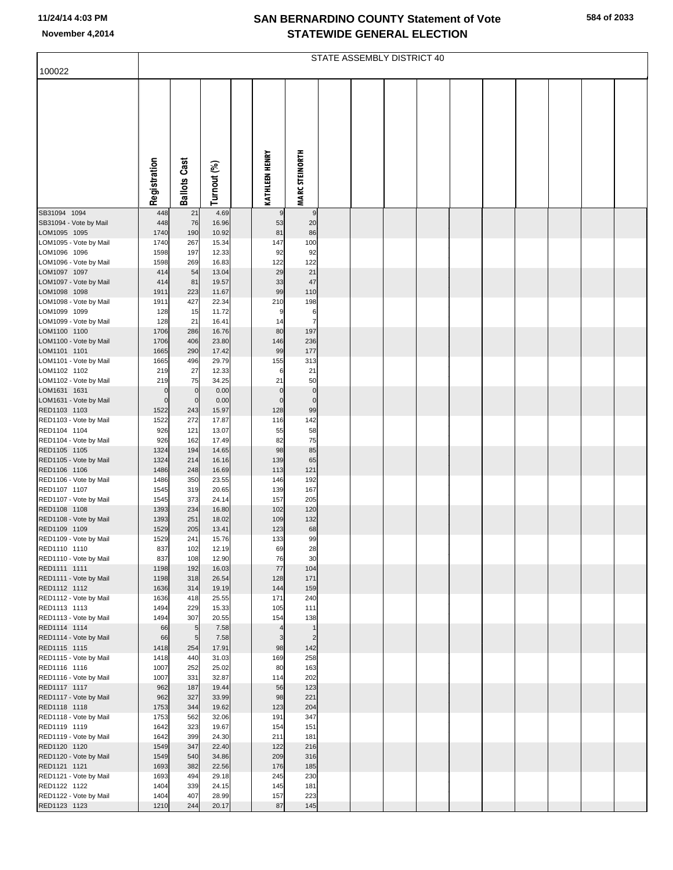| 100022                                 |                             |                                  |                |                         |                        | STATE ASSEMBLY DISTRICT 40 |  |  |  |  |
|----------------------------------------|-----------------------------|----------------------------------|----------------|-------------------------|------------------------|----------------------------|--|--|--|--|
|                                        |                             |                                  |                |                         |                        |                            |  |  |  |  |
|                                        | Registration                | <b>Ballots Cast</b>              | Turnout (%)    | <b>KATHLEEN HENRY</b>   | <b>MARC STEINORTH</b>  |                            |  |  |  |  |
| SB31094 1094                           | 448                         | 21                               | 4.69           | 9                       | 9                      |                            |  |  |  |  |
| SB31094 - Vote by Mail<br>LOM1095 1095 | 448<br>1740                 | 76<br>190                        | 16.96<br>10.92 | 53<br>81                | 20<br>86               |                            |  |  |  |  |
| LOM1095 - Vote by Mail                 | 1740                        | 267                              | 15.34          | 147                     | 100                    |                            |  |  |  |  |
| LOM1096 1096                           | 1598                        | 197                              | 12.33          | 92                      | 92                     |                            |  |  |  |  |
| LOM1096 - Vote by Mail<br>LOM1097 1097 | 1598<br>414                 | 269<br>54                        | 16.83<br>13.04 | 122<br>29               | 122<br>21              |                            |  |  |  |  |
| LOM1097 - Vote by Mail                 | 414                         | 81                               | 19.57          | 33                      | 47                     |                            |  |  |  |  |
| LOM1098 1098                           | 1911                        | 223                              | 11.67          | 99                      | 110                    |                            |  |  |  |  |
| LOM1098 - Vote by Mail<br>LOM1099 1099 | 1911<br>128                 | 427<br>15                        | 22.34<br>11.72 | 210<br>9                | 198                    |                            |  |  |  |  |
| LOM1099 - Vote by Mail                 | 128                         | 21                               | 16.41          | 14                      | 6<br>$\overline{7}$    |                            |  |  |  |  |
| LOM1100 1100                           | 1706                        | 286                              | 16.76          | 80                      | 197                    |                            |  |  |  |  |
| LOM1100 - Vote by Mail                 | 1706                        | 406                              | 23.80          | 146                     | 236                    |                            |  |  |  |  |
| LOM1101 1101<br>LOM1101 - Vote by Mail | 1665<br>1665                | 290<br>496                       | 17.42<br>29.79 | 99<br>155               | 177<br>313             |                            |  |  |  |  |
| LOM1102 1102                           | 219                         | 27                               | 12.33          | 6                       | 21                     |                            |  |  |  |  |
| LOM1102 - Vote by Mail                 | 219                         | 75                               | 34.25          | 21                      | 50                     |                            |  |  |  |  |
| LOM1631 1631<br>LOM1631 - Vote by Mail | $\mathbf 0$<br>$\mathbf{0}$ | $\overline{0}$<br>$\overline{0}$ | 0.00<br>0.00   | $\mathbf 0$<br>$\Omega$ | $\pmb{0}$<br>$\pmb{0}$ |                            |  |  |  |  |
| RED1103 1103                           | 1522                        | 243                              | 15.97          | 128                     | 99                     |                            |  |  |  |  |
| RED1103 - Vote by Mail                 | 1522                        | 272                              | 17.87          | 116                     | 142                    |                            |  |  |  |  |
| RED1104 1104<br>RED1104 - Vote by Mail | 926<br>926                  | 121<br>162                       | 13.07<br>17.49 | 55<br>82                | 58<br>75               |                            |  |  |  |  |
| RED1105 1105                           | 1324                        | 194                              | 14.65          | 98                      | 85                     |                            |  |  |  |  |
| RED1105 - Vote by Mail                 | 1324                        | 214                              | 16.16          | 139                     | 65                     |                            |  |  |  |  |
| RED1106 1106<br>RED1106 - Vote by Mail | 1486<br>1486                | 248<br>350                       | 16.69<br>23.55 | 113<br>146              | 121<br>192             |                            |  |  |  |  |
| RED1107 1107                           | 1545                        | 319                              | 20.65          | 139                     | 167                    |                            |  |  |  |  |
| RED1107 - Vote by Mail                 | 1545                        | 373                              | 24.14          | 157                     | 205                    |                            |  |  |  |  |
| RED1108 1108<br>RED1108 - Vote by Mail | 1393<br>1393                | 234<br>251                       | 16.80<br>18.02 | 102<br>109              | 120<br>132             |                            |  |  |  |  |
| RED1109 1109                           | 1529                        | 205                              | 13.41          | 123                     | 68                     |                            |  |  |  |  |
| RED1109 - Vote by Mail                 | 1529                        | 241                              | 15.76          | 133                     | 99                     |                            |  |  |  |  |
| RED1110 1110<br>RED1110 - Vote by Mail | 837<br>837                  | 102<br>108                       | 12.19<br>12.90 | 69<br>76                | 28<br>30               |                            |  |  |  |  |
| RED1111 1111                           | 1198                        | 192                              | 16.03          | 77                      | 104                    |                            |  |  |  |  |
| RED1111 - Vote by Mail<br>RED1112 1112 | 1198<br>1636                | 318<br>314                       | 26.54<br>19.19 | 128<br>144              | 171<br>159             |                            |  |  |  |  |
| RED1112 - Vote by Mail                 | 1636                        | 418                              | 25.55          | 171                     | 240                    |                            |  |  |  |  |
| RED1113 1113                           | 1494                        | 229                              | 15.33          | 105                     | 111                    |                            |  |  |  |  |
| RED1113 - Vote by Mail<br>RED1114 1114 | 1494<br>66                  | 307<br>5                         | 20.55<br>7.58  | 154<br>$\overline{4}$   | 138<br>$\overline{1}$  |                            |  |  |  |  |
| RED1114 - Vote by Mail                 | 66                          | 5                                | 7.58           | 3                       | $\overline{2}$         |                            |  |  |  |  |
| RED1115 1115                           | 1418                        | 254                              | 17.91          | 98                      | 142                    |                            |  |  |  |  |
| RED1115 - Vote by Mail<br>RED1116 1116 | 1418<br>1007                | 440<br>252                       | 31.03<br>25.02 | 169<br>80               | 258<br>163             |                            |  |  |  |  |
| RED1116 - Vote by Mail                 | 1007                        | 331                              | 32.87          | 114                     | 202                    |                            |  |  |  |  |
| RED1117 1117                           | 962                         | 187                              | 19.44          | 56                      | 123                    |                            |  |  |  |  |
| RED1117 - Vote by Mail<br>RED1118 1118 | 962<br>1753                 | 327<br>344                       | 33.99<br>19.62 | 98<br>123               | 221<br>204             |                            |  |  |  |  |
| RED1118 - Vote by Mail                 | 1753                        | 562                              | 32.06          | 191                     | 347                    |                            |  |  |  |  |
| RED1119 1119                           | 1642                        | 323                              | 19.67          | 154                     | 151                    |                            |  |  |  |  |
| RED1119 - Vote by Mail<br>RED1120 1120 | 1642<br>1549                | 399<br>347                       | 24.30<br>22.40 | 211<br>122              | 181<br>216             |                            |  |  |  |  |
| RED1120 - Vote by Mail                 | 1549                        | 540                              | 34.86          | 209                     | 316                    |                            |  |  |  |  |
| RED1121 1121                           | 1693                        | 382                              | 22.56          | 176                     | 185                    |                            |  |  |  |  |
| RED1121 - Vote by Mail<br>RED1122 1122 | 1693<br>1404                | 494<br>339                       | 29.18<br>24.15 | 245<br>145              | 230<br>181             |                            |  |  |  |  |
| RED1122 - Vote by Mail                 | 1404                        | 407                              | 28.99          | 157                     | 223                    |                            |  |  |  |  |
| RED1123 1123                           | 1210                        | 244                              | 20.17          | 87                      | 145                    |                            |  |  |  |  |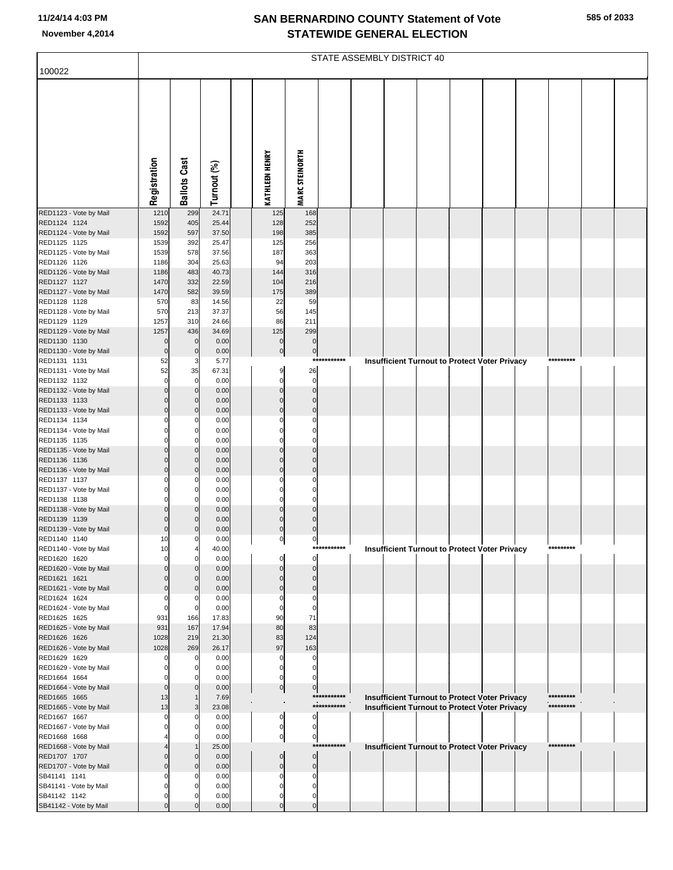|                                        |                  |                                  |                |                       |                          |             | STATE ASSEMBLY DISTRICT 40 |  |                                                      |           |  |
|----------------------------------------|------------------|----------------------------------|----------------|-----------------------|--------------------------|-------------|----------------------------|--|------------------------------------------------------|-----------|--|
| 100022                                 |                  |                                  |                |                       |                          |             |                            |  |                                                      |           |  |
|                                        |                  |                                  |                |                       |                          |             |                            |  |                                                      |           |  |
|                                        | Registration     | <b>Ballots Cast</b>              | Turnout (%)    | <b>KATHLEEN HENRY</b> | <b>MARC STEINORTH</b>    |             |                            |  |                                                      |           |  |
| RED1123 - Vote by Mail                 | 1210             | 299                              | 24.71          | 125                   | 168                      |             |                            |  |                                                      |           |  |
| RED1124 1124<br>RED1124 - Vote by Mail | 1592<br>1592     | 405<br>597                       | 25.44<br>37.50 | 128<br>198            | 252<br>385               |             |                            |  |                                                      |           |  |
| RED1125 1125                           | 1539             | 392                              | 25.47          | 125                   | 256                      |             |                            |  |                                                      |           |  |
| RED1125 - Vote by Mail                 | 1539             | 578                              | 37.56          | 187                   | 363                      |             |                            |  |                                                      |           |  |
| RED1126 1126<br>RED1126 - Vote by Mail | 1186<br>1186     | 304<br>483                       | 25.63<br>40.73 | 94<br>144             | 203<br>316               |             |                            |  |                                                      |           |  |
| RED1127 1127                           | 1470             | 332                              | 22.59          | 104                   | 216                      |             |                            |  |                                                      |           |  |
| RED1127 - Vote by Mail<br>RED1128 1128 | 1470<br>570      | 582<br>83                        | 39.59<br>14.56 | 175<br>22             | 389<br>59                |             |                            |  |                                                      |           |  |
| RED1128 - Vote by Mail                 | 570              | 213                              | 37.37          | 56                    | 145                      |             |                            |  |                                                      |           |  |
| RED1129 1129                           | 1257             | 310                              | 24.66          | 86                    | 211                      |             |                            |  |                                                      |           |  |
| RED1129 - Vote by Mail<br>RED1130 1130 | 1257<br>$\Omega$ | 436<br>$\mathbf 0$               | 34.69<br>0.00  | 125<br>$\pmb{0}$      | 299<br>$\mathbf 0$       |             |                            |  |                                                      |           |  |
| RED1130 - Vote by Mail                 | $\mathbf 0$      | $\mathbf{0}$                     | 0.00           | $\pmb{0}$             | $\pmb{0}$                |             |                            |  |                                                      |           |  |
| RED1131 1131<br>RED1131 - Vote by Mail | 52<br>52         | 3<br>35                          | 5.77<br>67.31  | $\boldsymbol{9}$      | 26                       | *********** |                            |  | <b>Insufficient Turnout to Protect Voter Privacy</b> | ********* |  |
| RED1132 1132                           | $\Omega$         | $\overline{0}$                   | 0.00           | $\mathbf 0$           | $\mathbf 0$              |             |                            |  |                                                      |           |  |
| RED1132 - Vote by Mail                 |                  | $\mathbf 0$                      | 0.00           | $\Omega$              | $\Omega$                 |             |                            |  |                                                      |           |  |
| RED1133 1133<br>RED1133 - Vote by Mail | $\Omega$         | $\overline{0}$<br>$\mathbf 0$    | 0.00<br>0.00   | $\Omega$<br>$\Omega$  | $\Omega$<br>$\Omega$     |             |                            |  |                                                      |           |  |
| RED1134 1134                           |                  | $\mathbf 0$                      | 0.00           | C                     | C                        |             |                            |  |                                                      |           |  |
| RED1134 - Vote by Mail<br>RED1135 1135 |                  | $\mathbf 0$<br>$\mathbf 0$       | 0.00<br>0.00   | C<br>$\Omega$         | C<br>$\Omega$            |             |                            |  |                                                      |           |  |
| RED1135 - Vote by Mail                 |                  | $\mathbf 0$                      | 0.00           | $\Omega$              | $\mathsf{C}$             |             |                            |  |                                                      |           |  |
| RED1136 1136                           |                  | $\overline{0}$                   | 0.00           | $\Omega$              | $\Omega$                 |             |                            |  |                                                      |           |  |
| RED1136 - Vote by Mail<br>RED1137 1137 | $\Omega$         | $\mathbf 0$<br>$\mathbf 0$       | 0.00<br>0.00   | $\Omega$<br>C         | $\Omega$<br>C            |             |                            |  |                                                      |           |  |
| RED1137 - Vote by Mail                 |                  | $\mathbf 0$                      | 0.00           | $\Omega$              | C                        |             |                            |  |                                                      |           |  |
| RED1138 1138<br>RED1138 - Vote by Mail | 0                | $\mathbf 0$<br>$\mathbf 0$       | 0.00<br>0.00   | $\Omega$<br>$\Omega$  | $\Omega$<br>$\mathsf{C}$ |             |                            |  |                                                      |           |  |
| RED1139 1139                           |                  | $\overline{0}$                   | 0.00           | $\Omega$              | $\Omega$                 |             |                            |  |                                                      |           |  |
| RED1139 - Vote by Mail                 | $\Omega$         | $\mathbf{0}$                     | 0.00           | $\Omega$              | $\mathbf 0$              |             |                            |  |                                                      |           |  |
| RED1140 1140<br>RED1140 - Vote by Mail | 10<br>10         | $\overline{0}$<br>$\overline{4}$ | 0.00<br>40.00  | 0                     | $\mathbf 0$              | *********** |                            |  | Insufficient Turnout to Protect Voter Privacy        | ********* |  |
| RED1620 1620                           | $\Omega$         | $\mathbf{0}$                     | 0.00           | C                     | 0                        |             |                            |  |                                                      |           |  |
| RED1620 - Vote by Mail<br>RED1621 1621 |                  | $\mathbf{0}$                     | 0.00<br>0.00   | C                     | $\Omega$<br>C            |             |                            |  |                                                      |           |  |
| RED1621 - Vote by Mail                 |                  | $\mathbf{0}$                     | 0.00           | C                     | $\mathcal{C}$            |             |                            |  |                                                      |           |  |
| RED1624 1624                           |                  | 0                                | 0.00           | C                     | C                        |             |                            |  |                                                      |           |  |
| RED1624 - Vote by Mail<br>RED1625 1625 | 0<br>931         | $\mathbf 0$<br>166               | 0.00<br>17.83  | $\Omega$<br>90        | $\mathsf{C}$<br>71       |             |                            |  |                                                      |           |  |
| RED1625 - Vote by Mail                 | 931              | 167                              | 17.94          | 80                    | 83                       |             |                            |  |                                                      |           |  |
| RED1626 1626<br>RED1626 - Vote by Mail | 1028<br>1028     | 219<br>269                       | 21.30<br>26.17 | 83<br>97              | 124<br>163               |             |                            |  |                                                      |           |  |
| RED1629 1629                           |                  | $\mathbf 0$                      | 0.00           | C                     | C                        |             |                            |  |                                                      |           |  |
| RED1629 - Vote by Mail                 |                  | $\mathbf 0$                      | 0.00           | C                     | C                        |             |                            |  |                                                      |           |  |
| RED1664 1664<br>RED1664 - Vote by Mail | $\Omega$         | 0                                | 0.00<br>0.00   | C<br>$\pmb{0}$        | $\mathbf 0$              |             |                            |  |                                                      |           |  |
| RED1665 1665                           | 13               |                                  | 7.69           |                       |                          | *********** |                            |  | Insufficient Turnout to Protect Voter Privacy        | ********* |  |
| RED1665 - Vote by Mail<br>RED1667 1667 | 13               | 3<br>0                           | 23.08<br>0.00  | 0                     | $\Omega$                 | *********** |                            |  | <b>Insufficient Turnout to Protect Voter Privacy</b> | ********* |  |
| RED1667 - Vote by Mail                 |                  |                                  | 0.00           | $\mathbf 0$           | $\mathbf 0$              |             |                            |  |                                                      |           |  |
| RED1668 1668                           |                  |                                  | 0.00           | 0                     | 0                        |             |                            |  |                                                      |           |  |
| RED1668 - Vote by Mail<br>RED1707 1707 |                  | $\mathbf{0}$                     | 25.00<br>0.00  | $\Omega$              | $\mathbf 0$              | *********** |                            |  | <b>Insufficient Turnout to Protect Voter Privacy</b> | ********* |  |
| RED1707 - Vote by Mail                 |                  | $\mathbf{0}$                     | 0.00           | $\Omega$              | $\mathbf 0$              |             |                            |  |                                                      |           |  |
| SB41141 1141                           |                  | 0                                | 0.00           | C                     | C                        |             |                            |  |                                                      |           |  |
| SB41141 - Vote by Mail<br>SB41142 1142 |                  | 0                                | 0.00<br>0.00   | C<br>C                | C<br>C                   |             |                            |  |                                                      |           |  |
| SB41142 - Vote by Mail                 |                  |                                  | 0.00           | $\Omega$              | $\mathbf 0$              |             |                            |  |                                                      |           |  |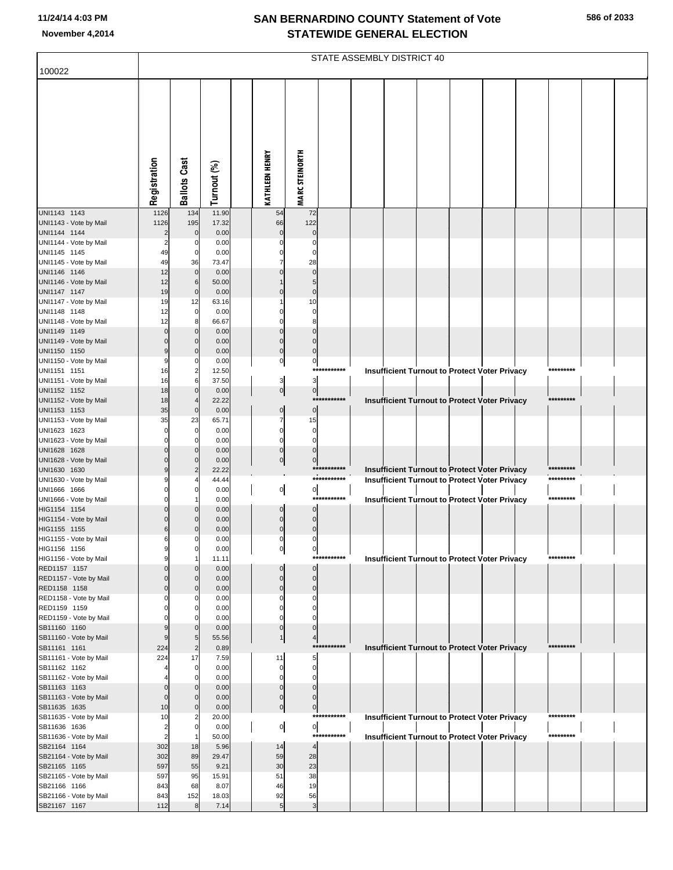|                                        |                            |                            |               |                            |                             |              | STATE ASSEMBLY DISTRICT 40                           |  |  |           |  |
|----------------------------------------|----------------------------|----------------------------|---------------|----------------------------|-----------------------------|--------------|------------------------------------------------------|--|--|-----------|--|
| 100022                                 |                            |                            |               |                            |                             |              |                                                      |  |  |           |  |
|                                        | Registration               | <b>Ballots Cast</b>        | Turnout (%)   | <b>KATHLEEN HENRY</b>      | <b>MARC STEINORTH</b>       |              |                                                      |  |  |           |  |
| UNI1143 1143                           | 1126                       | 134                        | 11.90         | 54                         | 72                          |              |                                                      |  |  |           |  |
| UNI1143 - Vote by Mail<br>UNI1144 1144 | 1126<br>$\overline{c}$     | 195<br>$\mathbf{0}$        | 17.32<br>0.00 | 66<br>$\Omega$             | 122<br>$\Omega$             |              |                                                      |  |  |           |  |
| UNI1144 - Vote by Mail                 | $\overline{2}$             | 0                          | 0.00          |                            | $\Omega$                    |              |                                                      |  |  |           |  |
| UNI1145 1145                           | 49                         | $\mathbf 0$                | 0.00          | $\Omega$                   | $\Omega$                    |              |                                                      |  |  |           |  |
| UNI1145 - Vote by Mail                 | 49                         | 36                         | 73.47         |                            | 28                          |              |                                                      |  |  |           |  |
| UNI1146 1146<br>UNI1146 - Vote by Mail | 12<br>12                   | $\overline{0}$<br>6        | 0.00<br>50.00 |                            | $\Omega$<br>5               |              |                                                      |  |  |           |  |
| UNI1147 1147                           | 19                         | $\mathbf 0$                | 0.00          | $\Omega$                   | $\mathbf 0$                 |              |                                                      |  |  |           |  |
| UNI1147 - Vote by Mail                 | 19                         | 12                         | 63.16         |                            | 10                          |              |                                                      |  |  |           |  |
| UNI1148 1148                           | 12                         | $\overline{0}$             | 0.00          | C                          | $\Omega$                    |              |                                                      |  |  |           |  |
| UNI1148 - Vote by Mail                 | 12                         |                            | 66.67         |                            | 8                           |              |                                                      |  |  |           |  |
| UNI1149 1149<br>UNI1149 - Vote by Mail | $\mathbf 0$<br>$\Omega$    | $\overline{0}$<br>$\Omega$ | 0.00<br>0.00  | $\Omega$<br>$\mathbf 0$    | $\Omega$<br>$\Omega$        |              |                                                      |  |  |           |  |
| UNI1150 1150                           | 9                          | $\mathbf 0$                | 0.00          | $\mathbf 0$                | $\mathbf{0}$                |              |                                                      |  |  |           |  |
| UNI1150 - Vote by Mail                 | 9                          | 0                          | 0.00          | $\mathbf 0$                | $\pmb{0}$                   |              |                                                      |  |  |           |  |
| UNI1151 1151                           | 16                         | 2                          | 12.50         |                            |                             | ***********  | <b>Insufficient Turnout to Protect Voter Privacy</b> |  |  | ********* |  |
| UNI1151 - Vote by Mail<br>UNI1152 1152 | 16<br>18                   | 6<br>$\overline{0}$        | 37.50         | 3                          | 3                           |              |                                                      |  |  |           |  |
| UNI1152 - Vote by Mail                 | 18                         |                            | 0.00<br>22.22 | $\overline{0}$             | 0 <br>$***$                 | ******       | <b>Insufficient Turnout to Protect Voter Privacy</b> |  |  | ********* |  |
| UNI1153 1153                           | 35                         | $\mathbf 0$                | 0.00          | $\pmb{0}$                  | $\overline{0}$              |              |                                                      |  |  |           |  |
| UNI1153 - Vote by Mail                 | 35                         | 23                         | 65.71         | 7                          | 15                          |              |                                                      |  |  |           |  |
| UNI1623 1623                           | $\Omega$                   | $\mathbf 0$                | 0.00          | $\mathbf 0$                | $\mathbf 0$                 |              |                                                      |  |  |           |  |
| UNI1623 - Vote by Mail<br>UNI1628 1628 | $\Omega$<br>$\Omega$       | $\Omega$                   | 0.00<br>0.00  | $\mathbf 0$<br>$\mathbf 0$ | $\mathbf 0$<br>$\mathbf 0$  |              |                                                      |  |  |           |  |
| UNI1628 - Vote by Mail                 |                            | $\Omega$                   | 0.00          | $\pmb{0}$                  | $\mathbf 0$                 |              |                                                      |  |  |           |  |
| UNI1630 1630                           | 9                          |                            | 22.22         |                            |                             | ***********  | Insufficient Turnout to Protect Voter Privacy        |  |  |           |  |
| UNI1630 - Vote by Mail                 | 9                          |                            | 44.44         |                            |                             | ***********  | <b>Insufficient Turnout to Protect Voter Privacy</b> |  |  | ********* |  |
| UNI1666 1666<br>UNI1666 - Vote by Mail | $\Omega$                   | $\Omega$                   | 0.00<br>0.00  | $\overline{0}$             | $\overline{0}$              | ***********  | <b>Insufficient Turnout to Protect Voter Privacy</b> |  |  | ********* |  |
| HIG1154 1154                           | $\Omega$                   | $\Omega$                   | 0.00          | $\Omega$                   | $\mathbf 0$                 |              |                                                      |  |  |           |  |
| HIG1154 - Vote by Mail                 | $\mathbf 0$                | $\Omega$                   | 0.00          | $\mathbf 0$                | $\mathbf 0$                 |              |                                                      |  |  |           |  |
| HIG1155 1155                           | $\,$ 6                     | $\Omega$                   | 0.00          | $\mathbf 0$                | $\Omega$                    |              |                                                      |  |  |           |  |
| HIG1155 - Vote by Mail<br>HIG1156 1156 | 6<br>9                     | 0<br>$\mathbf{0}$          | 0.00<br>0.00  | 0                          | 0                           |              |                                                      |  |  |           |  |
| HIG1156 - Vote by Mail                 | 9                          |                            | 11.11         | 이                          | 이                           | ***********  | <b>Insufficient Turnout to Protect Voter Privacy</b> |  |  | ********* |  |
| RED1157 1157                           | $\Omega$                   | $\Omega$                   | 0.00          |                            | $\mathbf 0$                 |              |                                                      |  |  |           |  |
| RED1157 - Vote by Mail                 | $\Omega$                   |                            | 0.00          | $\mathbf 0$                | $\mathbf 0$                 |              |                                                      |  |  |           |  |
| RED1158 1158<br>RED1158 - Vote by Mail | $\mathbf 0$<br>$\Omega$    | $\Omega$<br>0              | 0.00<br>0.00  | $\mathbf 0$<br>0           | $\mathbf 0$<br>0            |              |                                                      |  |  |           |  |
| RED1159 1159                           | $\Omega$                   | $\Omega$                   | 0.00          | 0                          | $\Omega$                    |              |                                                      |  |  |           |  |
| RED1159 - Vote by Mail                 |                            |                            | 0.00          |                            |                             |              |                                                      |  |  |           |  |
| SB11160 1160                           | 9                          | $\Omega$                   | 0.00          | $\mathbf 0$                | $\mathbf 0$                 |              |                                                      |  |  |           |  |
| SB11160 - Vote by Mail<br>SB11161 1161 | 9<br>224                   | $\overline{2}$             | 55.56<br>0.89 | $\mathbf{1}$               | $\overline{4}$              | ************ | <b>Insufficient Turnout to Protect Voter Privacy</b> |  |  | ********* |  |
| SB11161 - Vote by Mail                 | 224                        | 17                         | 7.59          | 11                         | 5                           |              |                                                      |  |  |           |  |
| SB11162 1162                           |                            | $\overline{0}$             | 0.00          | 0                          | $\mathbf 0$                 |              |                                                      |  |  |           |  |
| SB11162 - Vote by Mail                 |                            | O                          | 0.00          | $\Omega$                   | $\Omega$                    |              |                                                      |  |  |           |  |
| SB11163 1163<br>SB11163 - Vote by Mail | $\mathbf 0$<br>$\mathbf 0$ | $\Omega$                   | 0.00<br>0.00  | $\Omega$<br>0              | $\mathbf{0}$<br>$\mathbf 0$ |              |                                                      |  |  |           |  |
| SB11635 1635                           | 10                         | $\Omega$                   | 0.00          | $\pmb{0}$                  | $\pmb{0}$                   |              |                                                      |  |  |           |  |
| SB11635 - Vote by Mail                 | 10                         |                            | 20.00         |                            |                             | ***********  | <b>Insufficient Turnout to Protect Voter Privacy</b> |  |  | ********* |  |
| SB11636 1636                           | $\overline{2}$             | $\Omega$                   | 0.00          | $\overline{0}$             | $\overline{0}$              |              |                                                      |  |  |           |  |
| SB11636 - Vote by Mail                 | $\overline{2}$             |                            | 50.00         |                            |                             | ***********  | <b>Insufficient Turnout to Protect Voter Privacy</b> |  |  | ********* |  |
| SB21164 1164<br>SB21164 - Vote by Mail | 302<br>302                 | 18<br>89                   | 5.96<br>29.47 | 14<br>59                   | $\overline{4}$<br>28        |              |                                                      |  |  |           |  |
| SB21165 1165                           | 597                        | 55                         | 9.21          | 30                         | 23                          |              |                                                      |  |  |           |  |
| SB21165 - Vote by Mail                 | 597                        | 95                         | 15.91         | 51                         | 38                          |              |                                                      |  |  |           |  |
| SB21166 1166                           | 843                        | 68                         | 8.07          | 46                         | 19                          |              |                                                      |  |  |           |  |
| SB21166 - Vote by Mail<br>SB21167 1167 | 843<br>112                 | 152<br>8                   | 18.03<br>7.14 | 92<br>5                    | 56<br>$\mathbf{3}$          |              |                                                      |  |  |           |  |
|                                        |                            |                            |               |                            |                             |              |                                                      |  |  |           |  |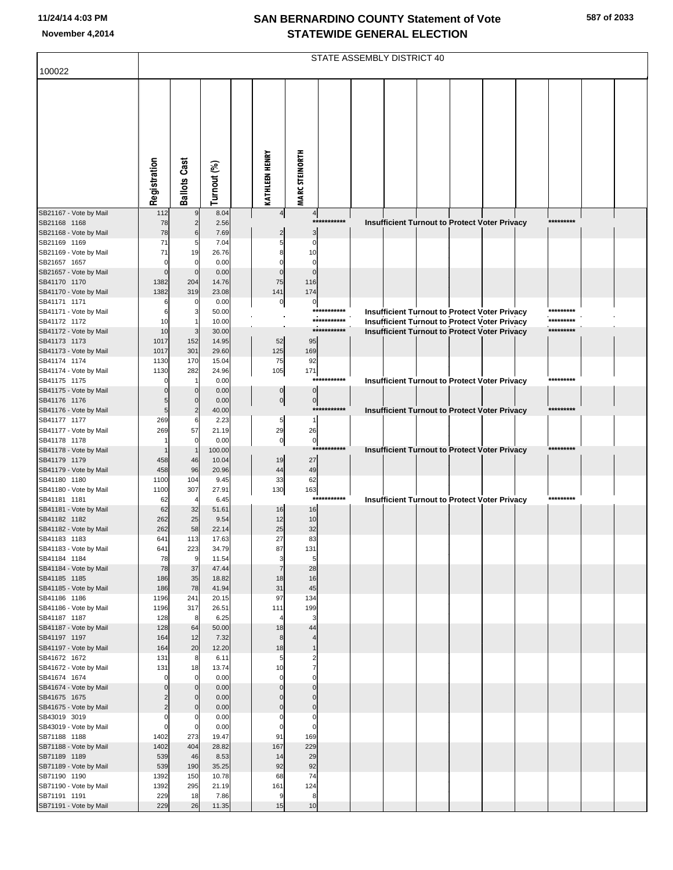| 100022                                 |                |                     |                |                         |                       | STATE ASSEMBLY DISTRICT 40 |  |  |                                                                                                       |                        |  |
|----------------------------------------|----------------|---------------------|----------------|-------------------------|-----------------------|----------------------------|--|--|-------------------------------------------------------------------------------------------------------|------------------------|--|
|                                        |                |                     |                |                         |                       |                            |  |  |                                                                                                       |                        |  |
|                                        |                |                     |                |                         |                       |                            |  |  |                                                                                                       |                        |  |
|                                        |                |                     |                |                         |                       |                            |  |  |                                                                                                       |                        |  |
|                                        |                |                     |                |                         |                       |                            |  |  |                                                                                                       |                        |  |
|                                        |                |                     |                |                         |                       |                            |  |  |                                                                                                       |                        |  |
|                                        |                |                     |                |                         |                       |                            |  |  |                                                                                                       |                        |  |
|                                        |                |                     |                |                         |                       |                            |  |  |                                                                                                       |                        |  |
|                                        | Registration   | <b>Ballots Cast</b> | Turnout (%)    | <b>KATHLEEN HENRY</b>   | <b>MARC STEINORTH</b> |                            |  |  |                                                                                                       |                        |  |
|                                        |                |                     |                |                         |                       |                            |  |  |                                                                                                       |                        |  |
| SB21167 - Vote by Mail<br>SB21168 1168 | 112<br>78      | $\overline{2}$      | 8.04<br>2.56   | $\overline{\mathbf{r}}$ | $\overline{a}$        | ***********                |  |  |                                                                                                       | *********              |  |
| SB21168 - Vote by Mail                 | 78             | 6                   | 7.69           |                         | 3                     |                            |  |  | Insufficient Turnout to Protect Voter Privacy                                                         |                        |  |
| SB21169 1169                           | 71             | 5                   | 7.04           |                         | C                     |                            |  |  |                                                                                                       |                        |  |
| SB21169 - Vote by Mail<br>SB21657 1657 | 71<br>$\Omega$ | 19                  | 26.76<br>0.00  |                         | 10<br>$\mathcal{C}$   |                            |  |  |                                                                                                       |                        |  |
| SB21657 - Vote by Mail                 | $\Omega$       |                     | 0.00           |                         | $\mathcal{C}$         |                            |  |  |                                                                                                       |                        |  |
| SB41170 1170<br>SB41170 - Vote by Mail | 1382<br>1382   | 204<br>319          | 14.76<br>23.08 | 75<br>141               | 116<br>174            |                            |  |  |                                                                                                       |                        |  |
| SB41171 1171                           | 6              |                     | 0.00           | 0                       | 0                     |                            |  |  |                                                                                                       |                        |  |
| SB41171 - Vote by Mail<br>SB41172 1172 | 6<br>10        |                     | 50.00<br>10.00 |                         |                       | ***********<br>*********** |  |  | Insufficient Turnout to Protect Voter Privacy<br><b>Insufficient Turnout to Protect Voter Privacy</b> | *********<br>********* |  |
| SB41172 - Vote by Mail                 | 10             | 3                   | 30.00          |                         |                       | ***********                |  |  | <b>Insufficient Turnout to Protect Voter Privacy</b>                                                  | *********              |  |
| SB41173 1173<br>SB41173 - Vote by Mail | 1017<br>1017   | 152<br>301          | 14.95<br>29.60 | 52<br>125               | 95<br>169             |                            |  |  |                                                                                                       |                        |  |
| SB41174 1174                           | 1130           | 170                 | 15.04          | 75                      | 92                    |                            |  |  |                                                                                                       |                        |  |
| SB41174 - Vote by Mail                 | 1130           | 282                 | 24.96          | 105                     | 171                   | ***********                |  |  |                                                                                                       | *********              |  |
| SB41175 1175<br>SB41175 - Vote by Mail |                | $\mathbf 0$         | 0.00<br>0.00   | $\mathbf 0$             | $\Omega$              |                            |  |  | Insufficient Turnout to Protect Voter Privacy                                                         |                        |  |
| SB41176 1176                           |                |                     | 0.00           | $\overline{0}$          | $\pmb{0}$             |                            |  |  |                                                                                                       |                        |  |
| SB41176 - Vote by Mail<br>SB41177 1177 | 5<br>269       | 6                   | 40.00<br>2.23  | 5                       | 1                     | ***********                |  |  | Insufficient Turnout to Protect Voter Privacy                                                         | *********              |  |
| SB41177 - Vote by Mail                 | 269            | 57                  | 21.19          | 29                      | 26                    |                            |  |  |                                                                                                       |                        |  |
| SB41178 1178<br>SB41178 - Vote by Mail |                |                     | 0.00<br>100.00 | $\mathbf 0$             | $\bf 0$<br>$***$      | *******                    |  |  | Insufficient Turnout to Protect Voter Privacy                                                         | *********              |  |
| SB41179 1179                           | 458            | 46                  | 10.04          | 19                      | 27                    |                            |  |  |                                                                                                       |                        |  |
| SB41179 - Vote by Mail<br>SB41180 1180 | 458<br>1100    | 96<br>104           | 20.96<br>9.45  | 44<br>33                | 49<br>62              |                            |  |  |                                                                                                       |                        |  |
| SB41180 - Vote by Mail                 | 1100           | 307                 | 27.91          | 130                     | 163                   |                            |  |  |                                                                                                       |                        |  |
| SB41181 1181<br>SB41181 - Vote by Mail | 62<br>62       | 32                  | 6.45<br>51.61  |                         | ***                   | *******                    |  |  | Insufficient Turnout to Protect Voter Privacy                                                         | *********              |  |
| SB41182 1182                           | 262            | 25                  | 9.54           | 16<br>12                | 16<br>10              |                            |  |  |                                                                                                       |                        |  |
| SB41182 - Vote by Mail                 | 262            | 58                  | 22.14          | 25                      | 32                    |                            |  |  |                                                                                                       |                        |  |
| SB41183 1183<br>SB41183 - Vote by Mail | 641<br>641     | 113<br>223          | 17.63<br>34.79 | 27<br>87                | 83<br>131             |                            |  |  |                                                                                                       |                        |  |
| SB41184 1184                           | 78             | 9                   | 11.54          | 3                       | 5                     |                            |  |  |                                                                                                       |                        |  |
| SB41184 - Vote by Mail<br>SB41185 1185 | 78<br>186      | 37<br>35            | 47.44<br>18.82 | 18                      | 28<br>16              |                            |  |  |                                                                                                       |                        |  |
| SB41185 - Vote by Mail                 | 186            | 78                  | 41.94          | 31                      | 45                    |                            |  |  |                                                                                                       |                        |  |
| SB41186 1186<br>SB41186 - Vote by Mail | 1196<br>1196   | 241<br>317          | 20.15<br>26.51 | 97<br>111               | 134<br>199            |                            |  |  |                                                                                                       |                        |  |
| SB41187 1187                           | 128            | 8                   | 6.25           | Z                       | 3                     |                            |  |  |                                                                                                       |                        |  |
| SB41187 - Vote by Mail<br>SB41197 1197 | 128<br>164     | 64<br>12            | 50.00<br>7.32  | 18<br>8                 | 44                    |                            |  |  |                                                                                                       |                        |  |
| SB41197 - Vote by Mail                 | 164            | 20                  | 12.20          | 18                      | $\overline{1}$        |                            |  |  |                                                                                                       |                        |  |
| SB41672 1672<br>SB41672 - Vote by Mail | 131<br>131     | 8<br>18             | 6.11<br>13.74  | 5<br>10                 | 2                     |                            |  |  |                                                                                                       |                        |  |
| SB41674 1674                           | $\Omega$       |                     | 0.00           | $\mathbf 0$             | C                     |                            |  |  |                                                                                                       |                        |  |
| SB41674 - Vote by Mail                 |                | $\Omega$            | 0.00           | C                       | $\Omega$              |                            |  |  |                                                                                                       |                        |  |
| SB41675 1675<br>SB41675 - Vote by Mail |                |                     | 0.00<br>0.00   |                         | $\Omega$              |                            |  |  |                                                                                                       |                        |  |
| SB43019 3019                           |                |                     | 0.00           |                         | C                     |                            |  |  |                                                                                                       |                        |  |
| SB43019 - Vote by Mail<br>SB71188 1188 | 1402           | 273                 | 0.00<br>19.47  | 91                      | 0<br>169              |                            |  |  |                                                                                                       |                        |  |
| SB71188 - Vote by Mail                 | 1402           | 404                 | 28.82          | 167                     | 229                   |                            |  |  |                                                                                                       |                        |  |
| SB71189 1189<br>SB71189 - Vote by Mail | 539<br>539     | 46<br>190           | 8.53<br>35.25  | 14<br>92                | 29<br>92              |                            |  |  |                                                                                                       |                        |  |
| SB71190 1190                           | 1392           | 150                 | 10.78          | 68                      | 74                    |                            |  |  |                                                                                                       |                        |  |
| SB71190 - Vote by Mail<br>SB71191 1191 | 1392<br>229    | 295<br>18           | 21.19<br>7.86  | 161<br>9                | 124<br>8              |                            |  |  |                                                                                                       |                        |  |
| SB71191 - Vote by Mail                 | 229            | 26                  | 11.35          | 15                      | 10                    |                            |  |  |                                                                                                       |                        |  |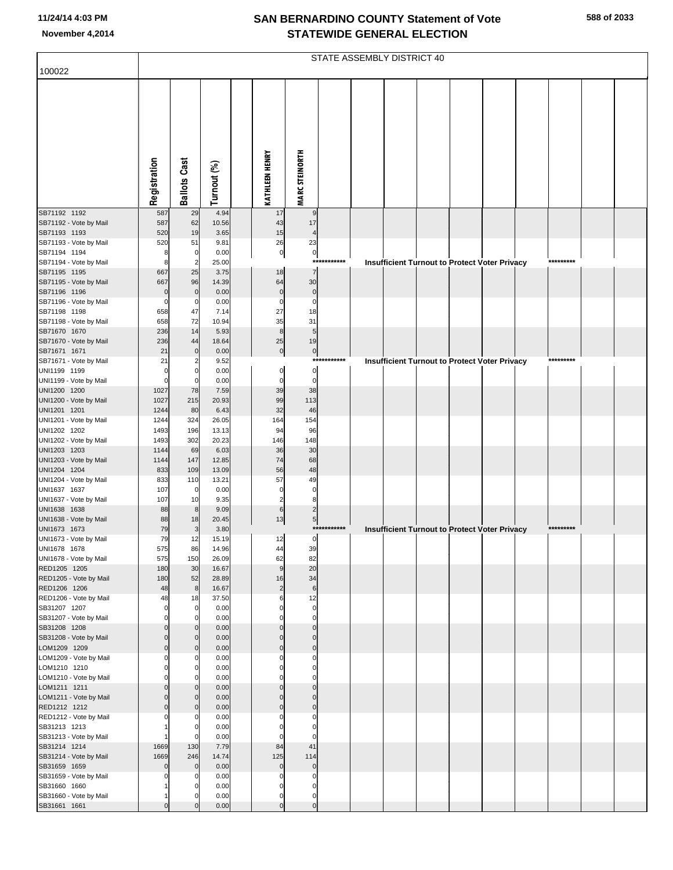|                                        |                      |                         |                |                            |                        |             | STATE ASSEMBLY DISTRICT 40 |  |                                                      |           |  |
|----------------------------------------|----------------------|-------------------------|----------------|----------------------------|------------------------|-------------|----------------------------|--|------------------------------------------------------|-----------|--|
| 100022                                 |                      |                         |                |                            |                        |             |                            |  |                                                      |           |  |
|                                        | Registration         | <b>Ballots Cast</b>     | Turnout (%)    | <b>KATHLEEN HENRY</b>      | <b>MARC STEINORTH</b>  |             |                            |  |                                                      |           |  |
| SB71192 1192                           | 587                  | 29                      | 4.94           | 17                         | 9                      |             |                            |  |                                                      |           |  |
| SB71192 - Vote by Mail<br>SB71193 1193 | 587<br>520           | 62<br>19                | 10.56<br>3.65  | 43<br>15                   | 17<br>$\overline{4}$   |             |                            |  |                                                      |           |  |
| SB71193 - Vote by Mail                 | 520                  | 51                      | 9.81           | 26                         | 23                     |             |                            |  |                                                      |           |  |
| SB71194 1194                           | 8                    | $\mathbf 0$             | 0.00           | $\overline{0}$             | $\circ$                |             |                            |  |                                                      |           |  |
| SB71194 - Vote by Mail                 | 8                    | $\overline{\mathbf{c}}$ | 25.00          |                            | $***$                  | ********    |                            |  | <b>Insufficient Turnout to Protect Voter Privacy</b> | ********* |  |
| SB71195 1195                           | 667<br>667           | 25                      | 3.75<br>14.39  | 18<br>64                   | $\overline{7}$<br>30   |             |                            |  |                                                      |           |  |
| SB71195 - Vote by Mail<br>SB71196 1196 | $\Omega$             | 96<br>$\mathbf 0$       | 0.00           | $\pmb{0}$                  | $\pmb{0}$              |             |                            |  |                                                      |           |  |
| SB71196 - Vote by Mail                 | $\Omega$             | 0                       | 0.00           | 0                          | $\pmb{0}$              |             |                            |  |                                                      |           |  |
| SB71198 1198                           | 658                  | 47                      | 7.14           | 27                         | 18                     |             |                            |  |                                                      |           |  |
| SB71198 - Vote by Mail                 | 658                  | 72                      | 10.94          | 35                         | 31                     |             |                            |  |                                                      |           |  |
| SB71670 1670<br>SB71670 - Vote by Mail | 236<br>236           | 14<br>44                | 5.93<br>18.64  | $\bf8$<br>25               | $\sqrt{5}$<br>19       |             |                            |  |                                                      |           |  |
| SB71671 1671                           | 21                   | $\Omega$                | 0.00           | $\overline{0}$             | $\overline{0}$         |             |                            |  |                                                      |           |  |
| SB71671 - Vote by Mail                 | 21                   | 2                       | 9.52           |                            |                        | *********** |                            |  | Insufficient Turnout to Protect Voter Privacy        | ********* |  |
| UNI1199 1199                           | 0                    | <sup>r</sup>            | 0.00           | $\pmb{0}$                  | $\overline{0}$         |             |                            |  |                                                      |           |  |
| UNI1199 - Vote by Mail                 | $\mathbf 0$          | 0                       | 0.00           | $\pmb{0}$                  | $\mathbf 0$            |             |                            |  |                                                      |           |  |
| UNI1200 1200<br>UNI1200 - Vote by Mail | 1027<br>1027         | 78<br>215               | 7.59<br>20.93  | 39<br>99                   | 38<br>113              |             |                            |  |                                                      |           |  |
| UNI1201 1201                           | 1244                 | 80                      | 6.43           | 32                         | 46                     |             |                            |  |                                                      |           |  |
| UNI1201 - Vote by Mail                 | 1244                 | 324                     | 26.05          | 164                        | 154                    |             |                            |  |                                                      |           |  |
| UNI1202 1202                           | 1493                 | 196                     | 13.13          | 94                         | 96                     |             |                            |  |                                                      |           |  |
| UNI1202 - Vote by Mail<br>UNI1203 1203 | 1493<br>1144         | 302<br>69               | 20.23<br>6.03  | 146<br>36                  | 148<br>30              |             |                            |  |                                                      |           |  |
| UNI1203 - Vote by Mail                 | 1144                 | 147                     | 12.85          | 74                         | 68                     |             |                            |  |                                                      |           |  |
| UNI1204 1204                           | 833                  | 109                     | 13.09          | 56                         | 48                     |             |                            |  |                                                      |           |  |
| UNI1204 - Vote by Mail                 | 833                  | 110                     | 13.21          | 57                         | 49                     |             |                            |  |                                                      |           |  |
| UNI1637 1637<br>UNI1637 - Vote by Mail | 107<br>107           | 0<br>10                 | 0.00<br>9.35   | 0<br>$\overline{c}$        | $\mathbf 0$<br>8       |             |                            |  |                                                      |           |  |
| UNI1638 1638                           | 88                   | 8                       | 9.09           | 6                          | $\overline{c}$         |             |                            |  |                                                      |           |  |
| UNI1638 - Vote by Mail                 | 88                   | 18                      | 20.45          | 13                         | $\overline{5}$         |             |                            |  |                                                      |           |  |
| UNI1673 1673                           | 79                   | 3                       | 3.80           |                            |                        | *********** |                            |  | Insufficient Turnout to Protect Voter Privacy        | ********* |  |
| UNI1673 - Vote by Mail                 | 79                   | 12                      | 15.19          | 12                         | $\overline{0}$         |             |                            |  |                                                      |           |  |
| UNI1678 1678<br>UNI1678 - Vote by Mail | 575<br>575           | 86<br>150               | 14.96<br>26.09 | 44<br>62                   | 39<br>82               |             |                            |  |                                                      |           |  |
| RED1205 1205                           | 180                  | 30                      | 16.67          | $\overline{9}$             | 20                     |             |                            |  |                                                      |           |  |
| RED1205 - Vote by Mail                 | 180                  | 52                      | 28.89          | 16                         | 34                     |             |                            |  |                                                      |           |  |
| RED1206 1206<br>RED1206 - Vote by Mail | 48<br>48             | 8<br>18                 | 16.67<br>37.50 | $\overline{c}$<br>6        | $6 \overline{}$<br>12  |             |                            |  |                                                      |           |  |
| SB31207 1207                           | $\mathbf 0$          | $\mathbf 0$             | 0.00           | $\Omega$                   | $\overline{0}$         |             |                            |  |                                                      |           |  |
| SB31207 - Vote by Mail                 | $\Omega$             | 0                       | 0.00           | $\Omega$                   | $\overline{0}$         |             |                            |  |                                                      |           |  |
| SB31208 1208                           | $\Omega$             | $\Omega$                | 0.00           | $\pmb{0}$                  | $\mathbf 0$            |             |                            |  |                                                      |           |  |
| SB31208 - Vote by Mail<br>LOM1209 1209 | $\Omega$<br>$\Omega$ | $\mathbf 0$             | 0.00<br>0.00   | $\mathbf 0$<br>$\mathbf 0$ | $\pmb{0}$<br>$\pmb{0}$ |             |                            |  |                                                      |           |  |
| LOM1209 - Vote by Mail                 | $\Omega$             | $\mathbf 0$<br>0        | 0.00           | $\Omega$                   | $\mathbf 0$            |             |                            |  |                                                      |           |  |
| LOM1210 1210                           | $\Omega$             | $\Omega$                | 0.00           | $\Omega$                   | $\mathbf 0$            |             |                            |  |                                                      |           |  |
| LOM1210 - Vote by Mail                 | $\Omega$             | O                       | 0.00           | $\Omega$                   | $\mathbf 0$            |             |                            |  |                                                      |           |  |
| LOM1211 1211                           | $\Omega$             | O                       | 0.00           | $\Omega$                   | $\mathbf 0$            |             |                            |  |                                                      |           |  |
| LOM1211 - Vote by Mail<br>RED1212 1212 | $\Omega$<br>$\Omega$ | $\Omega$<br>$\Omega$    | 0.00<br>0.00   | $\mathbf 0$<br>$\Omega$    | $\pmb{0}$<br>$\pmb{0}$ |             |                            |  |                                                      |           |  |
| RED1212 - Vote by Mail                 |                      | 0                       | 0.00           | $\Omega$                   | $\mathbf 0$            |             |                            |  |                                                      |           |  |
| SB31213 1213                           |                      | $\Omega$                | 0.00           | $\Omega$                   | $\mathbf 0$            |             |                            |  |                                                      |           |  |
| SB31213 - Vote by Mail                 |                      | $\Omega$                | 0.00           | $\Omega$                   | $\mathbf 0$            |             |                            |  |                                                      |           |  |
| SB31214 1214                           | 1669                 | 130                     | 7.79           | 84                         | 41                     |             |                            |  |                                                      |           |  |
| SB31214 - Vote by Mail<br>SB31659 1659 | 1669<br>$\Omega$     | 246<br>$\mathbf 0$      | 14.74<br>0.00  | 125<br>$\mathbf 0$         | 114<br>$\pmb{0}$       |             |                            |  |                                                      |           |  |
| SB31659 - Vote by Mail                 |                      | 0                       | 0.00           | 0                          | $\pmb{0}$              |             |                            |  |                                                      |           |  |
| SB31660 1660                           |                      |                         | 0.00           | $\Omega$                   | $\mathbf 0$            |             |                            |  |                                                      |           |  |
| SB31660 - Vote by Mail                 |                      | C                       | 0.00           | 0                          | $\overline{0}$         |             |                            |  |                                                      |           |  |
| SB31661 1661                           | $\Omega$             |                         | 0.00           | $\pmb{0}$                  | $\overline{0}$         |             |                            |  |                                                      |           |  |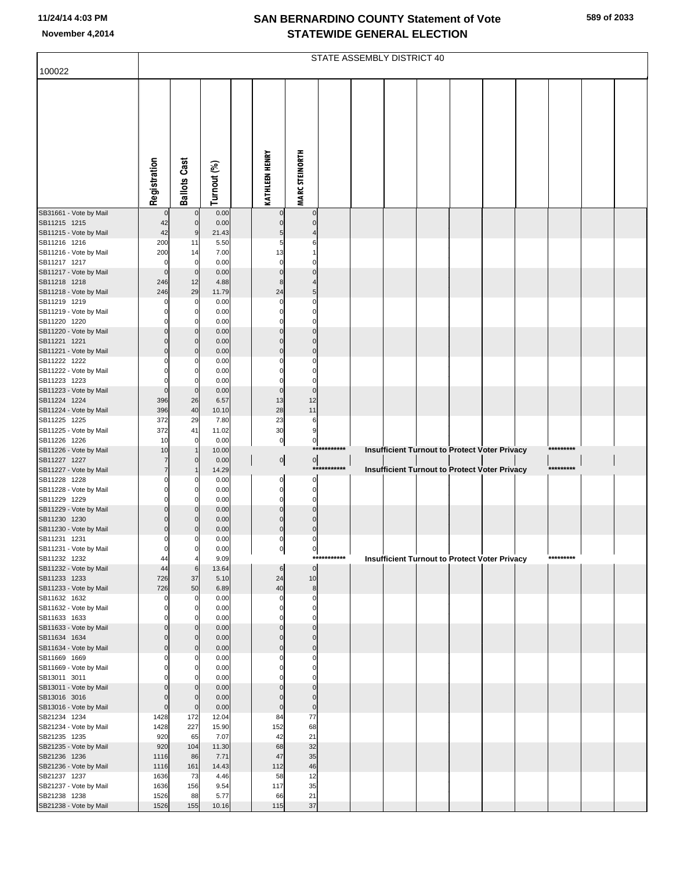|  | 589 of 2033 |
|--|-------------|
|  |             |

|                                        | STATE ASSEMBLY DISTRICT 40 |                            |                |  |                             |                                  |             |  |  |  |  |                                                      |  |           |  |
|----------------------------------------|----------------------------|----------------------------|----------------|--|-----------------------------|----------------------------------|-------------|--|--|--|--|------------------------------------------------------|--|-----------|--|
| 100022                                 |                            |                            |                |  |                             |                                  |             |  |  |  |  |                                                      |  |           |  |
|                                        | Registration               | <b>Ballots Cast</b>        | Turnout (%)    |  | <b>KATHLEEN HENRY</b>       | <b>MARC STEINORTH</b>            |             |  |  |  |  |                                                      |  |           |  |
| SB31661 - Vote by Mail                 | $\mathbf{0}$               | $\mathbf 0$                | 0.00           |  |                             | $\mathbf 0$                      |             |  |  |  |  |                                                      |  |           |  |
| SB11215 1215                           | 42                         | $\mathbf 0$                | 0.00           |  | $\Omega$                    | $\Omega$                         |             |  |  |  |  |                                                      |  |           |  |
| SB11215 - Vote by Mail<br>SB11216 1216 | 42<br>200                  | 9<br>11                    | 21.43<br>5.50  |  | 5<br>5                      | 6                                |             |  |  |  |  |                                                      |  |           |  |
| SB11216 - Vote by Mail                 | 200                        | 14                         | 7.00           |  | 13                          |                                  |             |  |  |  |  |                                                      |  |           |  |
| SB11217 1217                           | 0                          | $\mathbf 0$                | 0.00           |  | $\mathbf 0$                 | 0                                |             |  |  |  |  |                                                      |  |           |  |
| SB11217 - Vote by Mail                 | $\Omega$                   | $\mathbf 0$                | 0.00           |  | $\mathbf 0$                 | $\Omega$                         |             |  |  |  |  |                                                      |  |           |  |
| SB11218 1218<br>SB11218 - Vote by Mail | 246<br>246                 | 12<br>29                   | 4.88<br>11.79  |  | 8<br>24                     | 5                                |             |  |  |  |  |                                                      |  |           |  |
| SB11219 1219                           |                            | 0                          | 0.00           |  | 0                           | 0                                |             |  |  |  |  |                                                      |  |           |  |
| SB11219 - Vote by Mail                 |                            | 0                          | 0.00           |  | $\Omega$                    | $\Omega$                         |             |  |  |  |  |                                                      |  |           |  |
| SB11220 1220                           |                            | C                          | 0.00           |  |                             | 0                                |             |  |  |  |  |                                                      |  |           |  |
| SB11220 - Vote by Mail<br>SB11221 1221 | 0                          | $\mathbf 0$<br>$\mathbf 0$ | 0.00<br>0.00   |  | $\Omega$<br>$\Omega$        | $\Omega$<br>$\Omega$             |             |  |  |  |  |                                                      |  |           |  |
| SB11221 - Vote by Mail                 | 0                          | $\Omega$                   | 0.00           |  | $\Omega$                    | $\mathbf 0$                      |             |  |  |  |  |                                                      |  |           |  |
| SB11222 1222                           |                            | C                          | 0.00           |  |                             | 0                                |             |  |  |  |  |                                                      |  |           |  |
| SB11222 - Vote by Mail                 |                            | C                          | 0.00           |  |                             | $\Omega$                         |             |  |  |  |  |                                                      |  |           |  |
| SB11223 1223                           | $\Omega$                   | C<br>$\mathbf 0$           | 0.00<br>0.00   |  | $\Omega$<br>$\mathbf 0$     | 0<br>$\mathbf 0$                 |             |  |  |  |  |                                                      |  |           |  |
| SB11223 - Vote by Mail<br>SB11224 1224 | 396                        | 26                         | 6.57           |  | 13                          | 12                               |             |  |  |  |  |                                                      |  |           |  |
| SB11224 - Vote by Mail                 | 396                        | 40                         | 10.10          |  | 28                          | 11                               |             |  |  |  |  |                                                      |  |           |  |
| SB11225 1225                           | 372                        | 29                         | 7.80           |  | 23                          | 6                                |             |  |  |  |  |                                                      |  |           |  |
| SB11225 - Vote by Mail<br>SB11226 1226 | 372                        | 41<br>$\mathbf 0$          | 11.02          |  | 30                          | 9                                |             |  |  |  |  |                                                      |  |           |  |
| SB11226 - Vote by Mail                 | 10<br>10                   | $\overline{1}$             | 0.00<br>10.00  |  | $\overline{0}$              | 이                                | *********** |  |  |  |  | Insufficient Turnout to Protect Voter Privacy        |  | ********* |  |
| SB11227 1227                           | $\overline{7}$             | $\mathbf 0$                | 0.00           |  | $\overline{0}$              | $\boldsymbol{0}$                 |             |  |  |  |  |                                                      |  |           |  |
| SB11227 - Vote by Mail                 | $\overline{7}$             |                            | 14.29          |  |                             |                                  | *********** |  |  |  |  | Insufficient Turnout to Protect Voter Privacy        |  | ********* |  |
| SB11228 1228<br>SB11228 - Vote by Mail | ŋ                          | C<br>0                     | 0.00<br>0.00   |  | 0<br>$\mathbf 0$            | 0<br>$\overline{0}$              |             |  |  |  |  |                                                      |  |           |  |
| SB11229 1229                           |                            | C                          | 0.00           |  | $\Omega$                    | $\overline{0}$                   |             |  |  |  |  |                                                      |  |           |  |
| SB11229 - Vote by Mail                 |                            | C                          | 0.00           |  | $\Omega$                    | $\Omega$                         |             |  |  |  |  |                                                      |  |           |  |
| SB11230 1230                           |                            | C                          | 0.00           |  | $\Omega$                    | $\mathbf 0$                      |             |  |  |  |  |                                                      |  |           |  |
| SB11230 - Vote by Mail<br>SB11231 1231 | $\overline{0}$<br>$\Omega$ | C<br>0                     | 0.00<br>0.00   |  | $\overline{0}$<br>$\pmb{0}$ | $\overline{0}$<br>$\overline{0}$ |             |  |  |  |  |                                                      |  |           |  |
| SB11231 - Vote by Mail                 | $\mathbf{0}$               | 0                          | 0.00           |  | $\mathbf{0}$                | $\mathbf{0}$                     |             |  |  |  |  |                                                      |  |           |  |
| SB11232 1232                           | 44                         | 4                          | 9.09           |  |                             |                                  | *********** |  |  |  |  | <b>Insufficient Turnout to Protect Voter Privacy</b> |  | ********* |  |
| SB11232 - Vote by Mail                 | 44                         | 6                          | 13.64          |  | 6                           | $\overline{0}$                   |             |  |  |  |  |                                                      |  |           |  |
| SB11233 1233<br>SB11233 - Vote by Mail | 726<br>726                 | 37<br>50                   | 5.10<br>6.89   |  | 24<br>40                    | 10<br>8                          |             |  |  |  |  |                                                      |  |           |  |
| SB11632 1632                           | 0                          | C                          | 0.00           |  | 0                           | $\mathbf 0$                      |             |  |  |  |  |                                                      |  |           |  |
| SB11632 - Vote by Mail                 | $\Omega$                   | 0                          | 0.00           |  | $\mathbf 0$                 | $\mathbf{0}$                     |             |  |  |  |  |                                                      |  |           |  |
| SB11633 1633                           | $\Omega$                   | C<br>$\Omega$              | 0.00<br>0.00   |  | $\Omega$<br>$\Omega$        | 0<br>$\mathbf 0$                 |             |  |  |  |  |                                                      |  |           |  |
| SB11633 - Vote by Mail<br>SB11634 1634 | $\Omega$                   | $\mathbf 0$                | 0.00           |  | $\Omega$                    | $\overline{0}$                   |             |  |  |  |  |                                                      |  |           |  |
| SB11634 - Vote by Mail                 | $\Omega$                   | $\mathbf 0$                | 0.00           |  | $\mathbf 0$                 | $\overline{0}$                   |             |  |  |  |  |                                                      |  |           |  |
| SB11669 1669                           | ŋ                          | C                          | 0.00           |  | $\Omega$                    | 0                                |             |  |  |  |  |                                                      |  |           |  |
| SB11669 - Vote by Mail<br>SB13011 3011 |                            | $\Omega$<br>C              | 0.00<br>0.00   |  | $\Omega$<br>0               | $\Omega$<br>0                    |             |  |  |  |  |                                                      |  |           |  |
| SB13011 - Vote by Mail                 | $\Omega$                   | $\Omega$                   | 0.00           |  | $\Omega$                    | $\mathbf 0$                      |             |  |  |  |  |                                                      |  |           |  |
| SB13016 3016                           | 0                          | $\mathbf 0$                | 0.00           |  | $\Omega$                    | $\mathbf 0$                      |             |  |  |  |  |                                                      |  |           |  |
| SB13016 - Vote by Mail                 | $\Omega$                   | $\mathbf 0$                | 0.00           |  | $\pmb{0}$                   | $\overline{0}$                   |             |  |  |  |  |                                                      |  |           |  |
| SB21234 1234<br>SB21234 - Vote by Mail | 1428<br>1428               | 172<br>227                 | 12.04<br>15.90 |  | 84<br>152                   | 77<br>68                         |             |  |  |  |  |                                                      |  |           |  |
| SB21235 1235                           | 920                        | 65                         | 7.07           |  | 42                          | 21                               |             |  |  |  |  |                                                      |  |           |  |
| SB21235 - Vote by Mail                 | 920                        | 104                        | 11.30          |  | 68                          | 32                               |             |  |  |  |  |                                                      |  |           |  |
| SB21236 1236                           | 1116                       | 86                         | 7.71           |  | 47                          | 35                               |             |  |  |  |  |                                                      |  |           |  |
| SB21236 - Vote by Mail                 | 1116                       | 161                        | 14.43          |  | 112                         | 46                               |             |  |  |  |  |                                                      |  |           |  |
| SB21237 1237<br>SB21237 - Vote by Mail | 1636<br>1636               | 73<br>156                  | 4.46<br>9.54   |  | 58<br>117                   | 12<br>35                         |             |  |  |  |  |                                                      |  |           |  |
| SB21238 1238                           | 1526                       | 88                         | 5.77           |  | 66                          | 21                               |             |  |  |  |  |                                                      |  |           |  |
| SB21238 - Vote by Mail                 | 1526                       | 155                        | 10.16          |  | 115                         | 37                               |             |  |  |  |  |                                                      |  |           |  |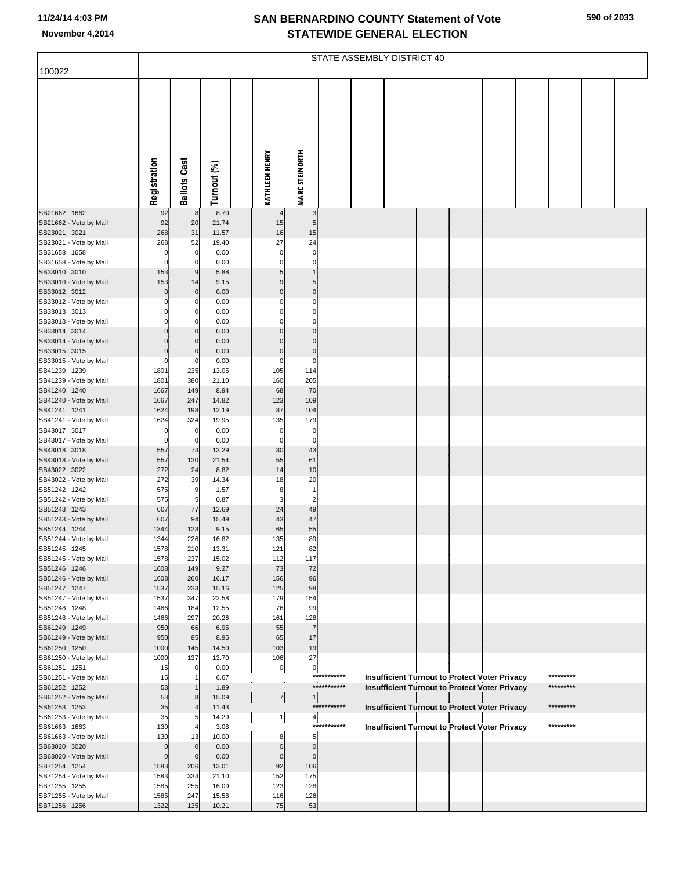|                                        | STATE ASSEMBLY DISTRICT 40 |                     |                |  |                       |                       |             |  |                                                      |  |  |  |  |           |  |
|----------------------------------------|----------------------------|---------------------|----------------|--|-----------------------|-----------------------|-------------|--|------------------------------------------------------|--|--|--|--|-----------|--|
| 100022                                 |                            |                     |                |  |                       |                       |             |  |                                                      |  |  |  |  |           |  |
|                                        | Registration               | <b>Ballots Cast</b> | Turnout (%)    |  | <b>KATHLEEN HENRY</b> | <b>MARC STEINORTH</b> |             |  |                                                      |  |  |  |  |           |  |
| SB21662 1662                           | 92                         | 8                   | 8.70           |  |                       | 3                     |             |  |                                                      |  |  |  |  |           |  |
| SB21662 - Vote by Mail<br>SB23021 3021 | 92<br>268                  | 20<br>31            | 21.74<br>11.57 |  | 15<br>16              | 5<br>15               |             |  |                                                      |  |  |  |  |           |  |
| SB23021 - Vote by Mail                 | 268                        | 52                  | 19.40          |  | 27                    | 24                    |             |  |                                                      |  |  |  |  |           |  |
| SB31658 1658                           | 0                          | $\mathbf 0$         | 0.00           |  | 0                     | 0                     |             |  |                                                      |  |  |  |  |           |  |
| SB31658 - Vote by Mail                 | $\Omega$                   | $\Omega$            | 0.00           |  | 0                     | 0                     |             |  |                                                      |  |  |  |  |           |  |
| SB33010 3010                           | 153                        | 9                   | 5.88           |  | 5                     |                       |             |  |                                                      |  |  |  |  |           |  |
| SB33010 - Vote by Mail                 | 153                        | 14<br>$\mathbf 0$   | 9.15           |  | 9<br>$\Omega$         | 5<br>$\mathbf 0$      |             |  |                                                      |  |  |  |  |           |  |
| SB33012 3012<br>SB33012 - Vote by Mail | 0<br>O                     | C                   | 0.00<br>0.00   |  | 0                     | 0                     |             |  |                                                      |  |  |  |  |           |  |
| SB33013 3013                           | ŋ                          | 0                   | 0.00           |  | 0                     | 0                     |             |  |                                                      |  |  |  |  |           |  |
| SB33013 - Vote by Mail                 | ŋ                          | 0                   | 0.00           |  | 0                     | $\Omega$              |             |  |                                                      |  |  |  |  |           |  |
| SB33014 3014                           | $\Omega$                   | $\Omega$            | 0.00           |  | 0                     | $\Omega$              |             |  |                                                      |  |  |  |  |           |  |
| SB33014 - Vote by Mail                 | O                          | 0                   | 0.00           |  | U                     | $\Omega$              |             |  |                                                      |  |  |  |  |           |  |
| SB33015 3015<br>SB33015 - Vote by Mail | $\Omega$<br>$\Omega$       | $\mathcal{C}$<br>C  | 0.00<br>0.00   |  | $\mathbf 0$<br>0      | $\mathbf 0$<br>0      |             |  |                                                      |  |  |  |  |           |  |
| SB41239 1239                           | 1801                       | 235                 | 13.05          |  | 105                   | 114                   |             |  |                                                      |  |  |  |  |           |  |
| SB41239 - Vote by Mail                 | 1801                       | 380                 | 21.10          |  | 160                   | 205                   |             |  |                                                      |  |  |  |  |           |  |
| SB41240 1240                           | 1667                       | 149                 | 8.94           |  | 68                    | 70                    |             |  |                                                      |  |  |  |  |           |  |
| SB41240 - Vote by Mail                 | 1667                       | 247                 | 14.82          |  | 123                   | 109                   |             |  |                                                      |  |  |  |  |           |  |
| SB41241 1241<br>SB41241 - Vote by Mail | 1624<br>1624               | 198<br>324          | 12.19<br>19.95 |  | 87<br>135             | 104<br>179            |             |  |                                                      |  |  |  |  |           |  |
| SB43017 3017                           | O                          | 0                   | 0.00           |  | 0                     | 0                     |             |  |                                                      |  |  |  |  |           |  |
| SB43017 - Vote by Mail                 | $\Omega$                   | $\mathbf 0$         | 0.00           |  | 0                     | $\mathbf 0$           |             |  |                                                      |  |  |  |  |           |  |
| SB43018 3018                           | 557                        | 74                  | 13.29          |  | 30                    | 43                    |             |  |                                                      |  |  |  |  |           |  |
| SB43018 - Vote by Mail                 | 557<br>272                 | 120                 | 21.54          |  | 55<br>14              | 61<br>10              |             |  |                                                      |  |  |  |  |           |  |
| SB43022 3022<br>SB43022 - Vote by Mail | 272                        | 24<br>39            | 8.82<br>14.34  |  | 18                    | 20                    |             |  |                                                      |  |  |  |  |           |  |
| SB51242 1242                           | 575                        | 9                   | 1.57           |  | 8                     | 1                     |             |  |                                                      |  |  |  |  |           |  |
| SB51242 - Vote by Mail                 | 575                        | 5                   | 0.87           |  | 3                     | $\overline{c}$        |             |  |                                                      |  |  |  |  |           |  |
| SB51243 1243                           | 607                        | 77                  | 12.69          |  | 24                    | 49                    |             |  |                                                      |  |  |  |  |           |  |
| SB51243 - Vote by Mail<br>SB51244 1244 | 607<br>1344                | 94<br>123           | 15.49<br>9.15  |  | 43<br>65              | 47<br>55              |             |  |                                                      |  |  |  |  |           |  |
| SB51244 - Vote by Mail                 | 1344                       | 226                 | 16.82          |  | 135                   | 89                    |             |  |                                                      |  |  |  |  |           |  |
| SB51245 1245                           | 1578                       | 210                 | 13.31          |  | 121                   | 82                    |             |  |                                                      |  |  |  |  |           |  |
| SB51245 - Vote by Mail                 | 1578                       | 237                 | 15.02          |  | 112                   | 117                   |             |  |                                                      |  |  |  |  |           |  |
| SB51246 1246                           | 1608                       | 149                 | 9.27           |  | 73                    | 72                    |             |  |                                                      |  |  |  |  |           |  |
| SB51246 - Vote by Mail<br>SB51247 1247 | 1608<br>1537               | 260<br>233          | 16.17<br>15.16 |  | 156<br>125            | 96<br>98              |             |  |                                                      |  |  |  |  |           |  |
| SB51247 - Vote by Mail                 | 1537                       | 347                 | 22.58          |  | 179                   | 154                   |             |  |                                                      |  |  |  |  |           |  |
| SB51248 1248                           | 1466                       | 184                 | 12.55          |  | 76                    | 99                    |             |  |                                                      |  |  |  |  |           |  |
| SB51248 - Vote by Mail                 | 1466                       | 297                 | 20.26          |  | 161                   | 128                   |             |  |                                                      |  |  |  |  |           |  |
| SB61249 1249                           | 950                        | 66                  | 6.95           |  | 55                    | $\overline{7}$        |             |  |                                                      |  |  |  |  |           |  |
| SB61249 - Vote by Mail<br>SB61250 1250 | 950<br>1000                | 85<br>145           | 8.95<br>14.50  |  | 65<br>103             | 17<br>19              |             |  |                                                      |  |  |  |  |           |  |
| SB61250 - Vote by Mail                 | 1000                       | 137                 | 13.70          |  | 106                   | 27                    |             |  |                                                      |  |  |  |  |           |  |
| SB61251 1251                           | 15                         | 0                   | 0.00           |  | 0                     | $\overline{0}$        |             |  |                                                      |  |  |  |  |           |  |
| SB61251 - Vote by Mail                 | 15                         | -1                  | 6.67           |  |                       |                       | *********** |  | <b>Insufficient Turnout to Protect Voter Privacy</b> |  |  |  |  | ********* |  |
| SB61252 1252                           | 53                         | $\mathbf 1$         | 1.89           |  |                       |                       | *********** |  | <b>Insufficient Turnout to Protect Voter Privacy</b> |  |  |  |  | ********* |  |
| SB61252 - Vote by Mail<br>SB61253 1253 | 53<br>35                   | 8                   | 15.09<br>11.43 |  | $\overline{7}$        | 1                     | *********** |  | Insufficient Turnout to Protect Voter Privacy        |  |  |  |  | ********* |  |
| SB61253 - Vote by Mail                 | 35                         | 5                   | 14.29          |  | 1                     | $\frac{4}{3}$         |             |  |                                                      |  |  |  |  |           |  |
| SB61663 1663                           | 130                        |                     | 3.08           |  |                       |                       | *********** |  | Insufficient Turnout to Protect Voter Privacy        |  |  |  |  | ********* |  |
| SB61663 - Vote by Mail                 | 130                        | 13                  | 10.00          |  | 8                     | 5                     |             |  |                                                      |  |  |  |  |           |  |
| SB63020 3020                           | $\Omega$                   | $\mathbf 0$         | 0.00           |  | $\Omega$              | $\mathbf 0$           |             |  |                                                      |  |  |  |  |           |  |
| SB63020 - Vote by Mail<br>SB71254 1254 | $\Omega$<br>1583           | $\mathbf 0$<br>206  | 0.00<br>13.01  |  | 0<br>92               | $\mathbf 0$<br>106    |             |  |                                                      |  |  |  |  |           |  |
| SB71254 - Vote by Mail                 | 1583                       | 334                 | 21.10          |  | 152                   | 175                   |             |  |                                                      |  |  |  |  |           |  |
| SB71255 1255                           | 1585                       | 255                 | 16.09          |  | 123                   | 128                   |             |  |                                                      |  |  |  |  |           |  |
| SB71255 - Vote by Mail                 | 1585                       | 247                 | 15.58          |  | 116                   | 126                   |             |  |                                                      |  |  |  |  |           |  |
| SB71256 1256                           | 1322                       | 135                 | 10.21          |  | 75                    | 53                    |             |  |                                                      |  |  |  |  |           |  |